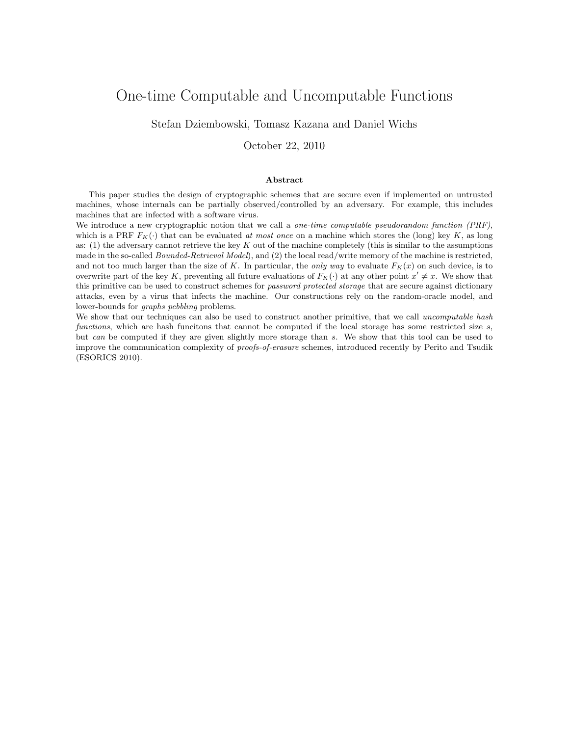# One-time Computable and Uncomputable Functions

Stefan Dziembowski, Tomasz Kazana and Daniel Wichs

October 22, 2010

#### Abstract

This paper studies the design of cryptographic schemes that are secure even if implemented on untrusted machines, whose internals can be partially observed/controlled by an adversary. For example, this includes machines that are infected with a software virus.

We introduce a new cryptographic notion that we call a *one-time computable pseudorandom function*  $(PRF)$ , which is a PRF  $F_K(\cdot)$  that can be evaluated at most once on a machine which stores the (long) key K, as long as: (1) the adversary cannot retrieve the key  $K$  out of the machine completely (this is similar to the assumptions made in the so-called Bounded-Retrieval Model), and (2) the local read/write memory of the machine is restricted, and not too much larger than the size of K. In particular, the only way to evaluate  $F_K(x)$  on such device, is to overwrite part of the key K, preventing all future evaluations of  $F_K(\cdot)$  at any other point  $x' \neq x$ . We show that this primitive can be used to construct schemes for *password protected storage* that are secure against dictionary attacks, even by a virus that infects the machine. Our constructions rely on the random-oracle model, and lower-bounds for *graphs pebbling* problems.

We show that our techniques can also be used to construct another primitive, that we call uncomputable hash functions, which are hash funcitons that cannot be computed if the local storage has some restricted size s, but can be computed if they are given slightly more storage than s. We show that this tool can be used to improve the communication complexity of *proofs-of-erasure* schemes, introduced recently by Perito and Tsudik (ESORICS 2010).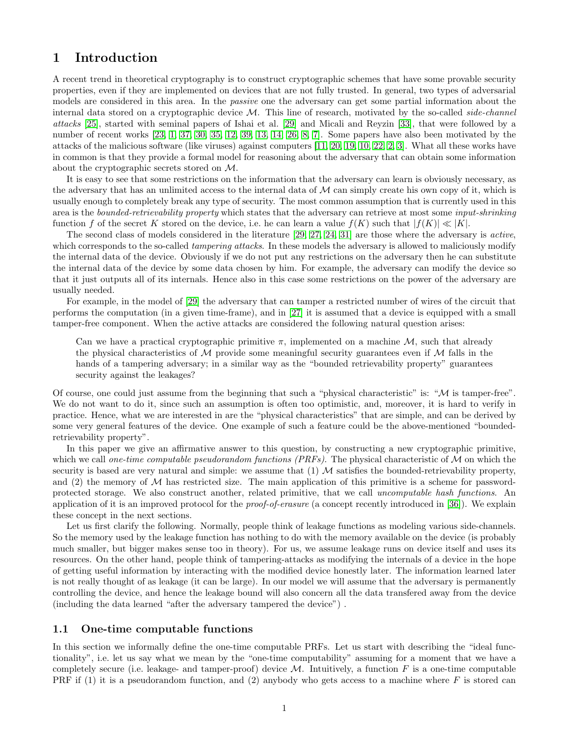## 1 Introduction

A recent trend in theoretical cryptography is to construct cryptographic schemes that have some provable security properties, even if they are implemented on devices that are not fully trusted. In general, two types of adversarial models are considered in this area. In the *passive* one the adversary can get some partial information about the internal data stored on a cryptographic device  $M$ . This line of research, motivated by the so-called side-channel attacks [\[25\]](#page-14-0), started with seminal papers of Ishai et al. [\[29\]](#page-14-1) and Micali and Reyzin [\[33\]](#page-14-2), that were followed by a number of recent works [\[23,](#page-14-3) [1,](#page-13-0) [37,](#page-15-0) [30,](#page-14-4) [35,](#page-15-1) [12,](#page-13-1) [39,](#page-15-2) [13,](#page-13-2) [14,](#page-14-5) [26,](#page-14-6) [8,](#page-13-3) [7\]](#page-13-4). Some papers have also been motivated by the attacks of the malicious software (like viruses) against computers [\[11,](#page-13-5) [20,](#page-14-7) [19,](#page-14-8) [10,](#page-13-6) [22,](#page-14-9) [2,](#page-13-7) [3\]](#page-13-8). What all these works have in common is that they provide a formal model for reasoning about the adversary that can obtain some information about the cryptographic secrets stored on M.

It is easy to see that some restrictions on the information that the adversary can learn is obviously necessary, as the adversary that has an unlimited access to the internal data of  $\cal{M}$  can simply create his own copy of it, which is usually enough to completely break any type of security. The most common assumption that is currently used in this area is the bounded-retrievability property which states that the adversary can retrieve at most some input-shrinking function f of the secret K stored on the device, i.e. he can learn a value  $f(K)$  such that  $|f(K)| \ll |K|$ .

The second class of models considered in the literature [\[29,](#page-14-1) [27,](#page-14-10) [24,](#page-14-11) [31\]](#page-14-12) are those where the adversary is active, which corresponds to the so-called *tampering attacks*. In these models the adversary is allowed to maliciously modify the internal data of the device. Obviously if we do not put any restrictions on the adversary then he can substitute the internal data of the device by some data chosen by him. For example, the adversary can modify the device so that it just outputs all of its internals. Hence also in this case some restrictions on the power of the adversary are usually needed.

For example, in the model of [\[29\]](#page-14-1) the adversary that can tamper a restricted number of wires of the circuit that performs the computation (in a given time-frame), and in [\[27\]](#page-14-10) it is assumed that a device is equipped with a small tamper-free component. When the active attacks are considered the following natural question arises:

Can we have a practical cryptographic primitive  $\pi$ , implemented on a machine  $\mathcal{M}$ , such that already the physical characteristics of M provide some meaningful security guarantees even if M falls in the hands of a tampering adversary; in a similar way as the "bounded retrievability property" guarantees security against the leakages?

Of course, one could just assume from the beginning that such a "physical characteristic" is: " $M$  is tamper-free". We do not want to do it, since such an assumption is often too optimistic, and, moreover, it is hard to verify in practice. Hence, what we are interested in are the "physical characteristics" that are simple, and can be derived by some very general features of the device. One example of such a feature could be the above-mentioned "boundedretrievability property".

In this paper we give an affirmative answer to this question, by constructing a new cryptographic primitive, which we call one-time computable pseudorandom functions  $(PRFs)$ . The physical characteristic of M on which the security is based are very natural and simple: we assume that  $(1)$  M satisfies the bounded-retrievability property, and  $(2)$  the memory of M has restricted size. The main application of this primitive is a scheme for passwordprotected storage. We also construct another, related primitive, that we call uncomputable hash functions. An application of it is an improved protocol for the *proof-of-erasure* (a concept recently introduced in  $[36]$ ). We explain these concept in the next sections.

Let us first clarify the following. Normally, people think of leakage functions as modeling various side-channels. So the memory used by the leakage function has nothing to do with the memory available on the device (is probably much smaller, but bigger makes sense too in theory). For us, we assume leakage runs on device itself and uses its resources. On the other hand, people think of tampering-attacks as modifying the internals of a device in the hope of getting useful information by interacting with the modified device honestly later. The information learned later is not really thought of as leakage (it can be large). In our model we will assume that the adversary is permanently controlling the device, and hence the leakage bound will also concern all the data transfered away from the device (including the data learned "after the adversary tampered the device") .

#### 1.1 One-time computable functions

In this section we informally define the one-time computable PRFs. Let us start with describing the "ideal functionality", i.e. let us say what we mean by the "one-time computability" assuming for a moment that we have a completely secure (i.e. leakage- and tamper-proof) device  $M$ . Intuitively, a function F is a one-time computable PRF if (1) it is a pseudorandom function, and (2) anybody who gets access to a machine where  $F$  is stored can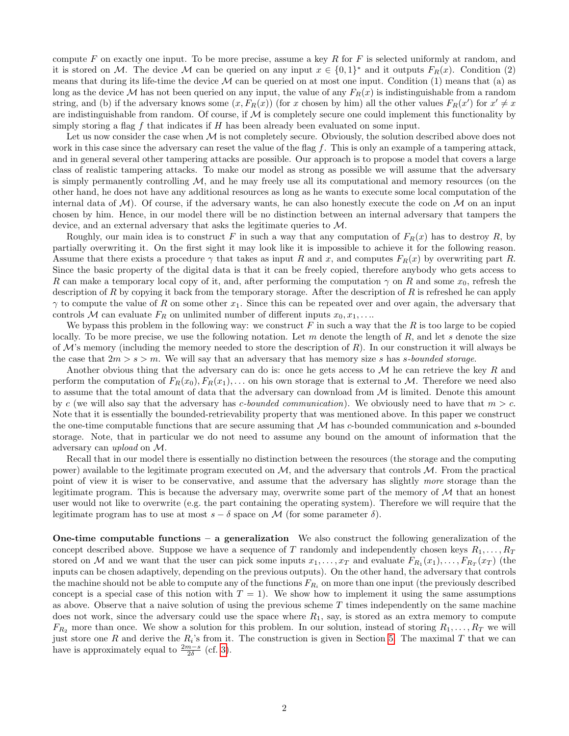compute F on exactly one input. To be more precise, assume a key R for F is selected uniformly at random, and it is stored on M. The device M can be queried on any input  $x \in \{0,1\}^*$  and it outputs  $F_R(x)$ . Condition (2) means that during its life-time the device  $M$  can be queried on at most one input. Condition (1) means that (a) as long as the device M has not been queried on any input, the value of any  $F_R(x)$  is indistinguishable from a random string, and (b) if the adversary knows some  $(x, F_R(x))$  (for x chosen by him) all the other values  $F_R(x')$  for  $x' \neq x$ are indistinguishable from random. Of course, if  $M$  is completely secure one could implement this functionality by simply storing a flag  $f$  that indicates if  $H$  has been already been evaluated on some input.

Let us now consider the case when  $\mathcal M$  is not completely secure. Obviously, the solution described above does not work in this case since the adversary can reset the value of the flag  $f$ . This is only an example of a tampering attack, and in general several other tampering attacks are possible. Our approach is to propose a model that covers a large class of realistic tampering attacks. To make our model as strong as possible we will assume that the adversary is simply permanently controlling  $M$ , and he may freely use all its computational and memory resources (on the other hand, he does not have any additional resources as long as he wants to execute some local computation of the internal data of  $M$ ). Of course, if the adversary wants, he can also honestly execute the code on  $M$  on an input chosen by him. Hence, in our model there will be no distinction between an internal adversary that tampers the device, and an external adversary that asks the legitimate queries to M.

Roughly, our main idea is to construct F in such a way that any computation of  $F_R(x)$  has to destroy R, by partially overwriting it. On the first sight it may look like it is impossible to achieve it for the following reason. Assume that there exists a procedure  $\gamma$  that takes as input R and x, and computes  $F_R(x)$  by overwriting part R. Since the basic property of the digital data is that it can be freely copied, therefore anybody who gets access to R can make a temporary local copy of it, and, after performing the computation  $\gamma$  on R and some  $x_0$ , refresh the description of  $R$  by copying it back from the temporary storage. After the description of  $R$  is refreshed he can apply  $\gamma$  to compute the value of R on some other  $x_1$ . Since this can be repeated over and over again, the adversary that controls M can evaluate  $F_R$  on unlimited number of different inputs  $x_0, x_1, \ldots$ 

We bypass this problem in the following way: we construct  $F$  in such a way that the R is too large to be copied locally. To be more precise, we use the following notation. Let  $m$  denote the length of  $R$ , and let  $s$  denote the size of  $\mathcal{M}$ 's memory (including the memory needed to store the description of R). In our construction it will always be the case that  $2m > s > m$ . We will say that an adversary that has memory size s has s-bounded storage.

Another obvious thing that the adversary can do is: once he gets access to  $\mathcal M$  he can retrieve the key R and perform the computation of  $F_R(x_0), F_R(x_1), \ldots$  on his own storage that is external to M. Therefore we need also to assume that the total amount of data that the adversary can download from  $\mathcal M$  is limited. Denote this amount by c (we will also say that the adversary has c-bounded communication). We obviously need to have that  $m > c$ . Note that it is essentially the bounded-retrievability property that was mentioned above. In this paper we construct the one-time computable functions that are secure assuming that  $\mathcal M$  has c-bounded communication and s-bounded storage. Note, that in particular we do not need to assume any bound on the amount of information that the adversary can upload on M.

Recall that in our model there is essentially no distinction between the resources (the storage and the computing power) available to the legitimate program executed on M, and the adversary that controls M. From the practical point of view it is wiser to be conservative, and assume that the adversary has slightly more storage than the legitimate program. This is because the adversary may, overwrite some part of the memory of  $\mathcal M$  that an honest user would not like to overwrite (e.g. the part containing the operating system). Therefore we will require that the legitimate program has to use at most  $s - \delta$  space on M (for some parameter  $\delta$ ).

**One-time computable functions – a generalization** We also construct the following generalization of the concept described above. Suppose we have a sequence of T randomly and independently chosen keys  $R_1, \ldots, R_T$ stored on M and we want that the user can pick some inputs  $x_1, \ldots, x_T$  and evaluate  $F_{R_1}(x_1), \ldots, F_{R_T}(x_T)$  (the inputs can be chosen adaptively, depending on the previous outputs). On the other hand, the adversary that controls the machine should not be able to compute any of the functions  $F_{R_i}$  on more than one input (the previously described concept is a special case of this notion with  $T = 1$ ). We show how to implement it using the same assumptions as above. Observe that a naive solution of using the previous scheme T times independently on the same machine does not work, since the adversary could use the space where  $R_1$ , say, is stored as an extra memory to compute  $F_{R_2}$  more than once. We show a solution for this problem. In our solution, instead of storing  $R_1, \ldots, R_T$  we will just store one R and derive the  $R_i$ 's from it. The construction is given in Section [5.](#page-8-0) The maximal T that we can have is approximately equal to  $\frac{2m-s}{2\delta}$  (cf. [3\)](#page-11-0).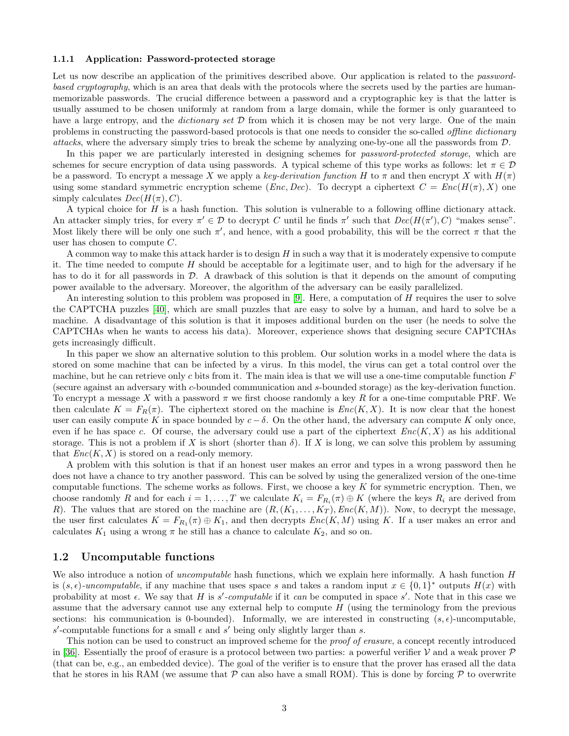#### 1.1.1 Application: Password-protected storage

Let us now describe an application of the primitives described above. Our application is related to the passwordbased cryptography, which is an area that deals with the protocols where the secrets used by the parties are humanmemorizable passwords. The crucial difference between a password and a cryptographic key is that the latter is usually assumed to be chosen uniformly at random from a large domain, while the former is only guaranteed to have a large entropy, and the *dictionary set*  $D$  from which it is chosen may be not very large. One of the main problems in constructing the password-based protocols is that one needs to consider the so-called *offline dictionary* attacks, where the adversary simply tries to break the scheme by analyzing one-by-one all the passwords from D.

In this paper we are particularly interested in designing schemes for *password-protected storage*, which are schemes for secure encryption of data using passwords. A typical scheme of this type works as follows: let  $\pi \in \mathcal{D}$ be a password. To encrypt a message X we apply a key-derivation function H to  $\pi$  and then encrypt X with  $H(\pi)$ using some standard symmetric encryption scheme (Enc, Dec). To decrypt a ciphertext  $C = Enc(H(\pi), X)$  one simply calculates  $Dec(H(\pi), C)$ .

A typical choice for  $H$  is a hash function. This solution is vulnerable to a following offline dictionary attack. An attacker simply tries, for every  $\pi' \in \mathcal{D}$  to decrypt C until he finds  $\pi'$  such that  $Dec(H(\pi'), C)$  "makes sense". Most likely there will be only one such  $\pi'$ , and hence, with a good probability, this will be the correct  $\pi$  that the user has chosen to compute C.

A common way to make this attack harder is to design H in such a way that it is moderately expensive to compute it. The time needed to compute H should be acceptable for a legitimate user, and to high for the adversary if he has to do it for all passwords in  $\mathcal{D}$ . A drawback of this solution is that it depends on the amount of computing power available to the adversary. Moreover, the algorithm of the adversary can be easily parallelized.

An interesting solution to this problem was proposed in [\[9\]](#page-13-9). Here, a computation of H requires the user to solve the CAPTCHA puzzles [\[40\]](#page-15-4), which are small puzzles that are easy to solve by a human, and hard to solve be a machine. A disadvantage of this solution is that it imposes additional burden on the user (he needs to solve the CAPTCHAs when he wants to access his data). Moreover, experience shows that designing secure CAPTCHAs gets increasingly difficult.

In this paper we show an alternative solution to this problem. Our solution works in a model where the data is stored on some machine that can be infected by a virus. In this model, the virus can get a total control over the machine, but he can retrieve only c bits from it. The main idea is that we will use a one-time computable function  $F$ (secure against an adversary with c-bounded communication and s-bounded storage) as the key-derivation function. To encrypt a message X with a password  $\pi$  we first choose randomly a key R for a one-time computable PRF. We then calculate  $K = F_R(\pi)$ . The ciphertext stored on the machine is  $Enc(K, X)$ . It is now clear that the honest user can easily compute K in space bounded by  $c - \delta$ . On the other hand, the adversary can compute K only once, even if he has space c. Of course, the adversary could use a part of the ciphertext  $Enc(K, X)$  as his additional storage. This is not a problem if X is short (shorter than  $\delta$ ). If X is long, we can solve this problem by assuming that  $Enc(K, X)$  is stored on a read-only memory.

A problem with this solution is that if an honest user makes an error and types in a wrong password then he does not have a chance to try another password. This can be solved by using the generalized version of the one-time computable functions. The scheme works as follows. First, we choose a key  $K$  for symmetric encryption. Then, we choose randomly R and for each  $i = 1, ..., T$  we calculate  $K_i = F_{R_i}(\pi) \oplus K$  (where the keys  $R_i$  are derived from R). The values that are stored on the machine are  $(R,(K_1,\ldots,K_T),Enc(K,M))$ . Now, to decrypt the message, the user first calculates  $K = F_{R_1}(\pi) \oplus K_1$ , and then decrypts  $Enc(K, M)$  using K. If a user makes an error and calculates  $K_1$  using a wrong  $\pi$  he still has a chance to calculate  $K_2$ , and so on.

#### 1.2 Uncomputable functions

We also introduce a notion of *uncomputable* hash functions, which we explain here informally. A hash function H is  $(s, \epsilon)$ -uncomputable, if any machine that uses space s and takes a random input  $x \in \{0, 1\}^*$  outputs  $H(x)$  with probability at most  $\epsilon$ . We say that H is s'-computable if it can be computed in space s'. Note that in this case we assume that the adversary cannot use any external help to compute H (using the terminology from the previous sections: his communication is 0-bounded). Informally, we are interested in constructing  $(s, \epsilon)$ -uncomputable, s'-computable functions for a small  $\epsilon$  and s' being only slightly larger than s.

This notion can be used to construct an improved scheme for the *proof of erasure*, a concept recently introduced in [\[36\]](#page-15-3). Essentially the proof of erasure is a protocol between two parties: a powerful verifier  $V$  and a weak prover  $\mathcal P$ (that can be, e.g., an embedded device). The goal of the verifier is to ensure that the prover has erased all the data that he stores in his RAM (we assume that  $P$  can also have a small ROM). This is done by forcing  $P$  to overwrite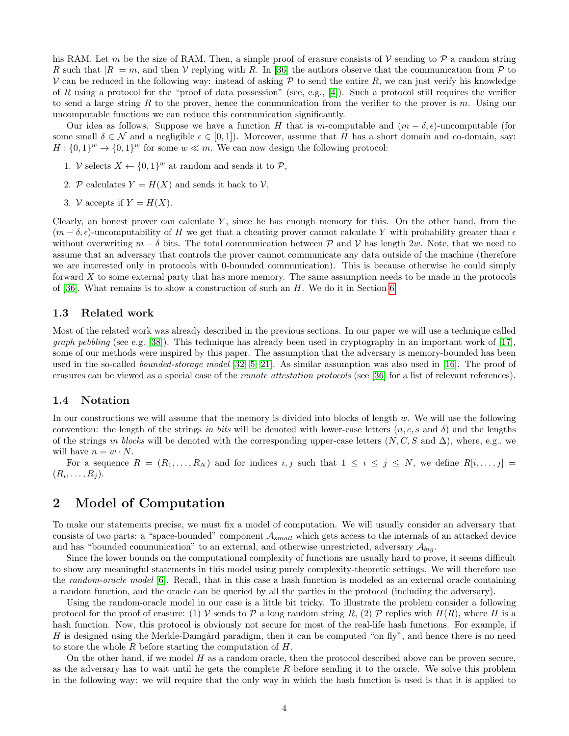his RAM. Let m be the size of RAM. Then, a simple proof of erasure consists of  $\mathcal V$  sending to  $\mathcal P$  a random string R such that  $|R| = m$ , and then V replying with R. In [\[36\]](#page-15-3) the authors observe that the communication from P to  $V$  can be reduced in the following way: instead of asking  $P$  to send the entire R, we can just verify his knowledge of R using a protocol for the "proof of data possession" (see, e.g., [\[4\]](#page-13-10)). Such a protocol still requires the verifier to send a large string R to the prover, hence the communication from the verifier to the prover is  $m$ . Using our uncomputable functions we can reduce this communication significantly.

Our idea as follows. Suppose we have a function H that is m-computable and  $(m - \delta, \epsilon)$ -uncomputable (for some small  $\delta \in \mathcal{N}$  and a negligible  $\epsilon \in [0,1]$ ). Moreover, assume that H has a short domain and co-domain, say:  $H: \{0,1\}^w \to \{0,1\}^w$  for some  $w \ll m$ . We can now design the following protocol:

- 1. V selects  $X \leftarrow \{0,1\}^w$  at random and sends it to  $\mathcal{P}$ ,
- 2. P calculates  $Y = H(X)$  and sends it back to V,
- 3. V accepts if  $Y = H(X)$ .

Clearly, an honest prover can calculate  $Y$ , since he has enough memory for this. On the other hand, from the  $(m - \delta, \epsilon)$ -uncomputability of H we get that a cheating prover cannot calculate Y with probability greater than  $\epsilon$ without overwriting  $m - \delta$  bits. The total communication between P and V has length 2w. Note, that we need to assume that an adversary that controls the prover cannot communicate any data outside of the machine (therefore we are interested only in protocols with 0-bounded communication). This is because otherwise he could simply forward X to some external party that has more memory. The same assumption needs to be made in the protocols of [\[36\]](#page-15-3). What remains is to show a construction of such an H. We do it in Section [6.](#page-12-0)

#### 1.3 Related work

Most of the related work was already described in the previous sections. In our paper we will use a technique called *graph pebbling* (see e.g. [\[38\]](#page-15-5)). This technique has already been used in cryptography in an important work of [\[17\]](#page-14-13), some of our methods were inspired by this paper. The assumption that the adversary is memory-bounded has been used in the so-called *bounded-storage model* [\[32,](#page-14-14) [5,](#page-13-11) [21\]](#page-14-15). As similar assumption was also used in [\[16\]](#page-14-16). The proof of erasures can be viewed as a special case of the remote attestation protocols (see [\[36\]](#page-15-3) for a list of relevant references).

#### 1.4 Notation

In our constructions we will assume that the memory is divided into blocks of length  $w$ . We will use the following convention: the length of the strings in bits will be denoted with lower-case letters  $(n, c, s \text{ and } \delta)$  and the lengths of the strings in blocks will be denoted with the corresponding upper-case letters  $(N, C, S \text{ and } \Delta)$ , where, e.g., we will have  $n = w \cdot N$ .

For a sequence  $R = (R_1, \ldots, R_N)$  and for indices i, j such that  $1 \leq i \leq j \leq N$ , we define  $R[i, \ldots, j]$  $(R_i,\ldots,R_j).$ 

### 2 Model of Computation

To make our statements precise, we must fix a model of computation. We will usually consider an adversary that consists of two parts: a "space-bounded" component  $A_{small}$  which gets access to the internals of an attacked device and has "bounded communication" to an external, and otherwise unrestricted, adversary  $\mathcal{A}_{biq}$ .

Since the lower bounds on the computational complexity of functions are usually hard to prove, it seems difficult to show any meaningful statements in this model using purely complexity-theoretic settings. We will therefore use the random-oracle model [\[6\]](#page-13-12). Recall, that in this case a hash function is modeled as an external oracle containing a random function, and the oracle can be queried by all the parties in the protocol (including the adversary).

Using the random-oracle model in our case is a little bit tricky. To illustrate the problem consider a following protocol for the proof of erasure: (1) V sends to P a long random string R, (2) P replies with  $H(R)$ , where H is a hash function. Now, this protocol is obviously not secure for most of the real-life hash functions. For example, if H is designed using the Merkle-Damgård paradigm, then it can be computed "on fly", and hence there is no need to store the whole  $R$  before starting the computation of  $H$ .

On the other hand, if we model  $H$  as a random oracle, then the protocol described above can be proven secure, as the adversary has to wait until he gets the complete  $R$  before sending it to the oracle. We solve this problem in the following way: we will require that the only way in which the hash function is used is that it is applied to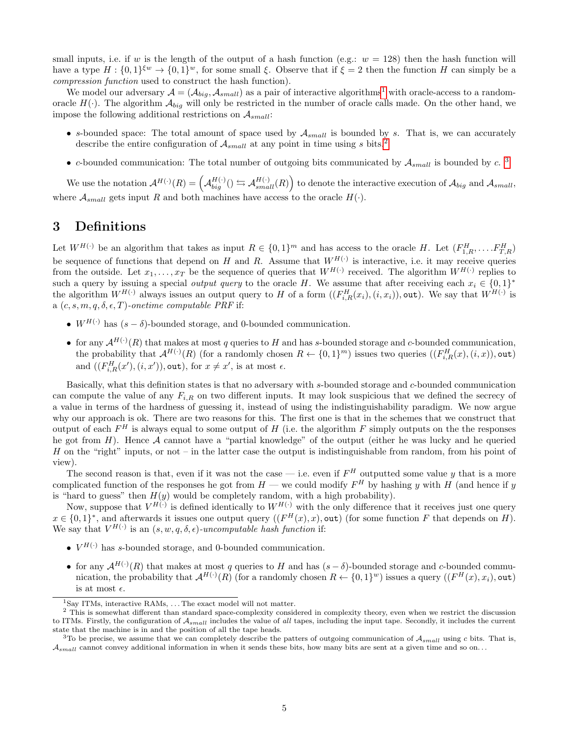small inputs, i.e. if w is the length of the output of a hash function (e.g.:  $w = 128$ ) then the hash function will have a type  $H: \{0,1\}^{\xi w} \to \{0,1\}^w$ , for some small  $\xi$ . Observe that if  $\xi = 2$  then the function H can simply be a compression function used to construct the hash function).

We model our adversary  $A = (A_{big}, A_{small})$  as a pair of interactive algorithms<sup>[1](#page-5-0)</sup> with oracle-access to a randomoracle  $H(\cdot)$ . The algorithm  $\mathcal{A}_{big}$  will only be restricted in the number of oracle calls made. On the other hand, we impose the following additional restrictions on  $\mathcal{A}_{small}$ :

- s-bounded space: The total amount of space used by  $A_{small}$  is bounded by s. That is, we can accurately describe the entire configuration of  $\mathcal{A}_{small}$  at any point in time using s bits.<sup>[2](#page-5-1)</sup>
- c-bounded communication: The total number of outgoing bits communicated by  $A_{small}$  is bounded by c.<sup>[3](#page-5-2)</sup>

We use the notation  $\mathcal{A}^{H(\cdot)}(R) = \left(\mathcal{A}_{big}^{H(\cdot)}(\cdot) \leftrightarrows \mathcal{A}_{small}^{H(\cdot)}(R)\right)$  to denote the interactive execution of  $\mathcal{A}_{big}$  and  $\mathcal{A}_{small}$ , where  $\mathcal{A}_{small}$  gets input R and both machines have access to the oracle  $H(.)$ .

## 3 Definitions

Let  $W^{H(\cdot)}$  be an algorithm that takes as input  $R \in \{0,1\}^m$  and has access to the oracle H. Let  $(F_{1,R}^H, \ldots, F_{T,R}^H)$ be sequence of functions that depend on H and R. Assume that  $W^{H(\cdot)}$  is interactive, i.e. it may receive queries from the outside. Let  $x_1, \ldots, x_T$  be the sequence of queries that  $W^{H(\cdot)}$  received. The algorithm  $W^{H(\cdot)}$  replies to such a query by issuing a special *output query* to the oracle H. We assume that after receiving each  $x_i \in \{0,1\}^*$ the algorithm  $W^{H(\cdot)}$  always issues an output query to H of a form  $((F_{i,R}^H(x_i),(i,x_i)),$  out). We say that  $W^{H(\cdot)}$  is a  $(c, s, m, q, \delta, \epsilon, T)$ -onetime computable PRF if:

- $W^{H(\cdot)}$  has  $(s \delta)$ -bounded storage, and 0-bounded communication.
- for any  $\mathcal{A}^{H(\cdot)}(R)$  that makes at most q queries to H and has s-bounded storage and c-bounded communication, the probability that  $\mathcal{A}^{H(\cdot)}(R)$  (for a randomly chosen  $R \leftarrow \{0,1\}^m$ ) issues two queries  $((F_{i,R}^H(x),(i,x)),$  out) and  $((F_{i,R}^H(x'),(i, x')),$  out), for  $x \neq x'$ , is at most  $\epsilon$ .

Basically, what this definition states is that no adversary with s-bounded storage and c-bounded communication can compute the value of any  $F_{i,R}$  on two different inputs. It may look suspicious that we defined the secrecy of a value in terms of the hardness of guessing it, instead of using the indistinguishability paradigm. We now argue why our approach is ok. There are two reasons for this. The first one is that in the schemes that we construct that output of each  $F^H$  is always equal to some output of H (i.e. the algorithm F simply outputs on the the responses he got from  $H$ ). Hence  $A$  cannot have a "partial knowledge" of the output (either he was lucky and he queried H on the "right" inputs, or not – in the latter case the output is indistinguishable from random, from his point of view).

The second reason is that, even if it was not the case — i.e. even if  $F^H$  outputted some value y that is a more complicated function of the responses he got from  $H$  — we could modify  $F^H$  by hashing y with H (and hence if y is "hard to guess" then  $H(y)$  would be completely random, with a high probability).

Now, suppose that  $V^{H(\cdot)}$  is defined identically to  $W^{H(\cdot)}$  with the only difference that it receives just one query  $x \in \{0,1\}^*$ , and afterwards it issues one output query  $((F^H(x), x), \text{out})$  (for some function F that depends on H). We say that  $V^{H(\cdot)}$  is an  $(s, w, q, \delta, \epsilon)$ -uncomputable hash function if:

- $\bullet$   $V^{H(\cdot)}$  has s-bounded storage, and 0-bounded communication.
- for any  $\mathcal{A}^{H(\cdot)}(R)$  that makes at most q queries to H and has  $(s-\delta)$ -bounded storage and c-bounded communication, the probability that  $\mathcal{A}^{H(\cdot)}(R)$  (for a randomly chosen  $R \leftarrow \{0,1\}^w$ ) issues a query  $((F^H(x), x_i), \text{out})$ is at most  $\epsilon$ .

<span id="page-5-1"></span><span id="page-5-0"></span><sup>&</sup>lt;sup>1</sup>Say ITMs, interactive RAMs, ... The exact model will not matter.

<sup>2</sup> This is somewhat different than standard space-complexity considered in complexity theory, even when we restrict the discussion to ITMs. Firstly, the configuration of  $A_{small}$  includes the value of all tapes, including the input tape. Secondly, it includes the current state that the machine is in and the position of all the tape heads.

<span id="page-5-2"></span><sup>&</sup>lt;sup>3</sup>To be precise, we assume that we can completely describe the patters of outgoing communication of  $A_{small}$  using c bits. That is,  $A_{small}$  cannot convey additional information in when it sends these bits, how many bits are sent at a given time and so on...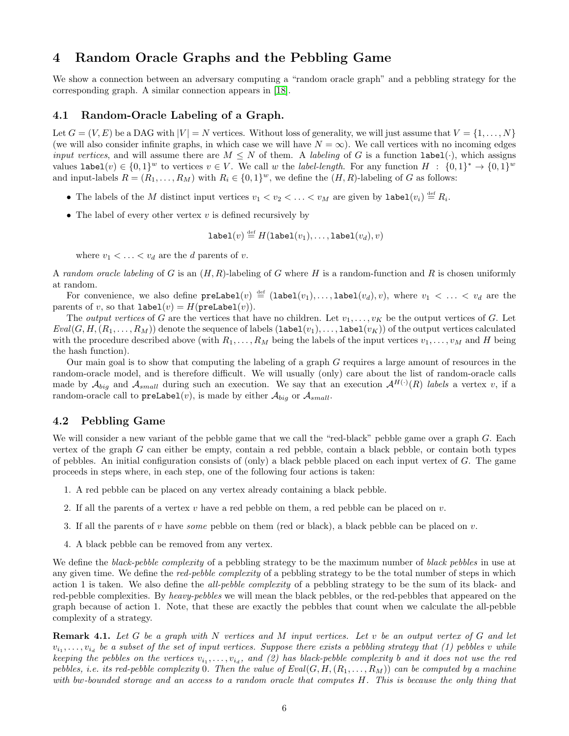## 4 Random Oracle Graphs and the Pebbling Game

We show a connection between an adversary computing a "random oracle graph" and a pebbling strategy for the corresponding graph. A similar connection appears in [\[18\]](#page-14-17).

#### 4.1 Random-Oracle Labeling of a Graph.

Let  $G = (V, E)$  be a DAG with  $|V| = N$  vertices. Without loss of generality, we will just assume that  $V = \{1, \ldots, N\}$ (we will also consider infinite graphs, in which case we will have  $N = \infty$ ). We call vertices with no incoming edges input vertices, and will assume there are  $M \leq N$  of them. A labeling of G is a function label( $\cdot$ ), which assigns values  $\texttt{label}(v) \in \{0,1\}^w$  to vertices  $v \in V$ . We call w the *label-length*. For any function  $H : \{0,1\}^* \to \{0,1\}^w$ and input-labels  $R = (R_1, \ldots, R_M)$  with  $R_i \in \{0,1\}^w$ , we define the  $(H, R)$ -labeling of G as follows:

- The labels of the M distinct input vertices  $v_1 < v_2 < \ldots < v_M$  are given by label $(v_i) \stackrel{\text{def}}{=} R_i$ .
- The label of every other vertex  $v$  is defined recursively by

$$
\mathtt{label}(v) \stackrel{\text{def}}{=} H(\mathtt{label}(v_1),\ldots,\mathtt{label}(v_d),v)
$$

where  $v_1 < \ldots < v_d$  are the d parents of v.

A random oracle labeling of G is an  $(H, R)$ -labeling of G where H is a random-function and R is chosen uniformly at random.

For convenience, we also define  $\texttt{preLabel}(v) \stackrel{\text{def}}{=} (\texttt{label}(v_1), \ldots, \texttt{label}(v_d), v)$ , where  $v_1 < \ldots < v_d$  are the parents of v, so that  $label(v) = H(\text{preLabel}(v))$ .

The *output vertices* of G are the vertices that have no children. Let  $v_1, \ldots, v_K$  be the output vertices of G. Let  $Eval(G, H, (R_1, \ldots, R_M))$  denote the sequence of labels  $(1 \text{abel}(v_1), \ldots, 1 \text{abel}(v_K))$  of the output vertices calculated with the procedure described above (with  $R_1, \ldots, R_M$  being the labels of the input vertices  $v_1, \ldots, v_M$  and H being the hash function).

Our main goal is to show that computing the labeling of a graph G requires a large amount of resources in the random-oracle model, and is therefore difficult. We will usually (only) care about the list of random-oracle calls made by  $\mathcal{A}_{big}$  and  $\mathcal{A}_{small}$  during such an execution. We say that an execution  $\mathcal{A}^{H(\cdot)}(R)$  labels a vertex v, if a random-oracle call to preLabel(v), is made by either  $\mathcal{A}_{big}$  or  $\mathcal{A}_{small}$ .

#### <span id="page-6-1"></span>4.2 Pebbling Game

We will consider a new variant of the pebble game that we call the "red-black" pebble game over a graph G. Each vertex of the graph G can either be empty, contain a red pebble, contain a black pebble, or contain both types of pebbles. An initial configuration consists of (only) a black pebble placed on each input vertex of  $G$ . The game proceeds in steps where, in each step, one of the following four actions is taken:

- 1. A red pebble can be placed on any vertex already containing a black pebble.
- 2. If all the parents of a vertex v have a red pebble on them, a red pebble can be placed on v.
- 3. If all the parents of v have some pebble on them (red or black), a black pebble can be placed on  $v$ .
- 4. A black pebble can be removed from any vertex.

We define the black-pebble complexity of a pebbling strategy to be the maximum number of black pebbles in use at any given time. We define the *red-pebble complexity* of a pebbling strategy to be the total number of steps in which action 1 is taken. We also define the *all-pebble complexity* of a pebbling strategy to be the sum of its black- and red-pebble complexities. By *heavy-pebbles* we will mean the black pebbles, or the red-pebbles that appeared on the graph because of action 1. Note, that these are exactly the pebbles that count when we calculate the all-pebble complexity of a strategy.

<span id="page-6-0"></span>**Remark 4.1.** Let G be a graph with N vertices and M input vertices. Let v be an output vertex of G and let  $v_{i_1},\ldots,v_{i_d}$  be a subset of the set of input vertices. Suppose there exists a pebbling strategy that (1) pebbles v while keeping the pebbles on the vertices  $v_{i_1},\ldots,v_{i_d}$ , and (2) has black-pebble complexity b and it does not use the red pebbles, i.e. its red-pebble complexity 0. Then the value of  $Eval(G, H, (R_1, \ldots, R_M))$  can be computed by a machine with bw-bounded storage and an access to a random oracle that computes H. This is because the only thing that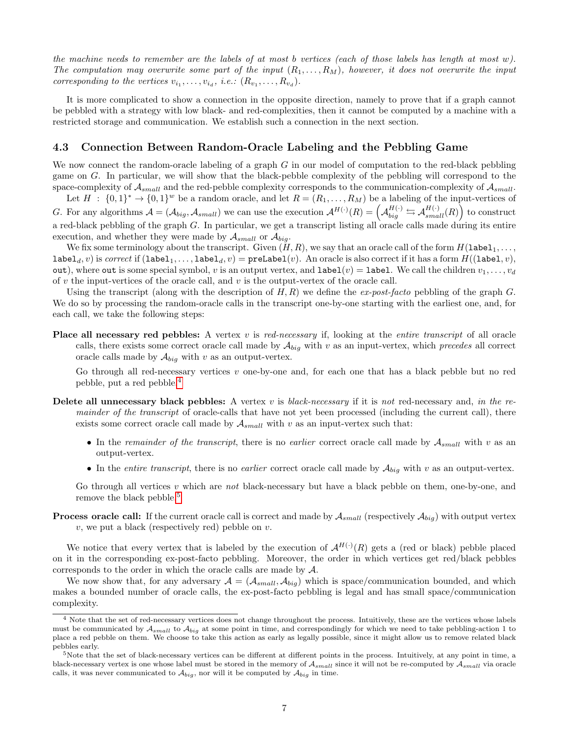the machine needs to remember are the labels of at most b vertices (each of those labels has length at most w). The computation may overwrite some part of the input  $(R_1, \ldots, R_M)$ , however, it does not overwrite the input corresponding to the vertices  $v_{i_1}, \ldots, v_{i_d}$ , i.e.:  $(R_{v_1}, \ldots, R_{v_d})$ .

It is more complicated to show a connection in the opposite direction, namely to prove that if a graph cannot be pebbled with a strategy with low black- and red-complexities, then it cannot be computed by a machine with a restricted storage and communication. We establish such a connection in the next section.

#### 4.3 Connection Between Random-Oracle Labeling and the Pebbling Game

We now connect the random-oracle labeling of a graph  $G$  in our model of computation to the red-black pebbling game on G. In particular, we will show that the black-pebble complexity of the pebbling will correspond to the space-complexity of  $\mathcal{A}_{small}$  and the red-pebble complexity corresponds to the communication-complexity of  $\mathcal{A}_{small}$ .

Let  $H : \{0,1\}^* \to \{0,1\}^w$  be a random oracle, and let  $R = (R_1,\ldots,R_M)$  be a labeling of the input-vertices of G. For any algorithms  $A = (A_{big}, A_{small})$  we can use the execution  $A^{H(\cdot)}(R) = (A^{H(\cdot)}_{big} \leftrightarrows A^{H(\cdot)}_{small}(R))$  to construct a red-black pebbling of the graph  $G$ . In particular, we get a transcript listing all oracle calls made during its entire execution, and whether they were made by  $\mathcal{A}_{small}$  or  $\mathcal{A}_{bia}$ .

We fix some terminology about the transcript. Given  $(H, R)$ , we say that an oracle call of the form  $H(\texttt{label}_1, \ldots,$  $label_{d}, v)$  is correct if  $(label_{d}, v)$  = preLabel $(v)$ . An oracle is also correct if it has a form  $H((label_{d}, v)$ , out), where out is some special symbol, v is an output vertex, and label(v) = label. We call the children  $v_1, \ldots, v_d$ of  $v$  the input-vertices of the oracle call, and  $v$  is the output-vertex of the oracle call.

Using the transcript (along with the description of  $H, R$ ) we define the ex-post-facto pebbling of the graph  $G$ . We do so by processing the random-oracle calls in the transcript one-by-one starting with the earliest one, and, for each call, we take the following steps:

**Place all necessary red pebbles:** A vertex v is red-necessary if, looking at the entire transcript of all oracle calls, there exists some correct oracle call made by  $\mathcal{A}_{big}$  with v as an input-vertex, which precedes all correct oracle calls made by  $\mathcal{A}_{biq}$  with v as an output-vertex.

Go through all red-necessary vertices v one-by-one and, for each one that has a black pebble but no red pebble, put a red pebble.[4](#page-7-0)

- Delete all unnecessary black pebbles: A vertex v is black-necessary if it is not red-necessary and, in the remainder of the transcript of oracle-calls that have not yet been processed (including the current call), there exists some correct oracle call made by  $\mathcal{A}_{small}$  with v as an input-vertex such that:
	- In the remainder of the transcript, there is no earlier correct oracle call made by  $A_{small}$  with v as an output-vertex.
	- In the *entire transcript*, there is no *earlier* correct oracle call made by  $A_{biq}$  with v as an output-vertex.

Go through all vertices  $v$  which are *not* black-necessary but have a black pebble on them, one-by-one, and remove the black pebble.<sup>[5](#page-7-1)</sup>

**Process oracle call:** If the current oracle call is correct and made by  $A_{small}$  (respectively  $A_{big}$ ) with output vertex  $v$ , we put a black (respectively red) pebble on  $v$ .

We notice that every vertex that is labeled by the execution of  $\mathcal{A}^{H(\cdot)}(R)$  gets a (red or black) pebble placed on it in the corresponding ex-post-facto pebbling. Moreover, the order in which vertices get red/black pebbles corresponds to the order in which the oracle calls are made by  $A$ .

We now show that, for any adversary  $A = (A_{small}, A_{big})$  which is space/communication bounded, and which makes a bounded number of oracle calls, the ex-post-facto pebbling is legal and has small space/communication complexity.

<span id="page-7-0"></span><sup>&</sup>lt;sup>4</sup> Note that the set of red-necessary vertices does not change throughout the process. Intuitively, these are the vertices whose labels must be communicated by  $A_{small}$  to  $A_{big}$  at some point in time, and correspondingly for which we need to take pebbling-action 1 to place a red pebble on them. We choose to take this action as early as legally possible, since it might allow us to remove related black pebbles early.

<span id="page-7-1"></span> $5$ Note that the set of black-necessary vertices can be different at different points in the process. Intuitively, at any point in time, a black-necessary vertex is one whose label must be stored in the memory of  $A_{small}$  since it will not be re-computed by  $A_{small}$  via oracle calls, it was never communicated to  $\mathcal{A}_{big},$  nor will it be computed by  $\mathcal{A}_{big}$  in time.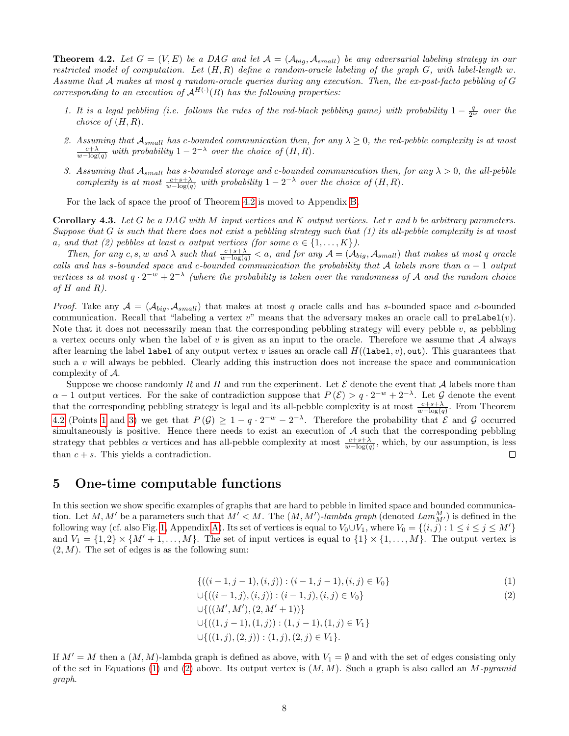<span id="page-8-1"></span>**Theorem 4.2.** Let  $G = (V, E)$  be a DAG and let  $\mathcal{A} = (\mathcal{A}_{big}, \mathcal{A}_{small})$  be any adversarial labeling strategy in our restricted model of computation. Let  $(H, R)$  define a random-oracle labeling of the graph  $G$ , with label-length w. Assume that A makes at most q random-oracle queries during any execution. Then, the ex-post-facto pebbling of G corresponding to an execution of  $\mathcal{A}^{H(\cdot)}(R)$  has the following properties:

- <span id="page-8-2"></span>1. It is a legal pebbling (i.e. follows the rules of the red-black pebbling game) with probability  $1-\frac{q}{2^w}$  over the choice of  $(H, R)$ .
- 2. Assuming that  $A_{small}$  has c-bounded communication then, for any  $\lambda \geq 0$ , the red-pebble complexity is at most  $\frac{c+\lambda}{w-\log(q)}$  with probability  $1-2^{-\lambda}$  over the choice of  $(H, R)$ .
- <span id="page-8-3"></span>3. Assuming that  $A_{small}$  has s-bounded storage and c-bounded communication then, for any  $\lambda > 0$ , the all-pebble complexity is at most  $\frac{c+s+\lambda}{w-\log(q)}$  with probability  $1-2^{-\lambda}$  over the choice of  $(H, R)$ .

For the lack of space the proof of Theorem [4.2](#page-8-1) is moved to Appendix [B.](#page-17-0)

<span id="page-8-5"></span>**Corollary 4.3.** Let  $G$  be a DAG with M input vertices and  $K$  output vertices. Let  $r$  and  $b$  be arbitrary parameters. Suppose that  $G$  is such that there does not exist a pebbling strategy such that  $(1)$  its all-pebble complexity is at most a, and that (2) pebbles at least  $\alpha$  output vertices (for some  $\alpha \in \{1, \ldots, K\}$ ).

Then, for any c, s, w and  $\lambda$  such that  $\frac{c+s+\lambda}{w-\log(q)} < a$ , and for any  $\mathcal{A} = (\mathcal{A}_{big}, \mathcal{A}_{small})$  that makes at most q oracle calls and has s-bounded space and c-bounded communication the probability that A labels more than  $\alpha - 1$  output vertices is at most  $q \cdot 2^{-w} + 2^{-\lambda}$  (where the probability is taken over the randomness of A and the random choice of  $H$  and  $R$ ).

*Proof.* Take any  $A = (A_{biq}, A_{small})$  that makes at most q oracle calls and has s-bounded space and c-bounded communication. Recall that "labeling a vertex  $v$ " means that the adversary makes an oracle call to  $preLabel(v)$ . Note that it does not necessarily mean that the corresponding pebbling strategy will every pebble  $v$ , as pebbling a vertex occurs only when the label of v is given as an input to the oracle. Therefore we assume that  $A$  always after learning the label label of any output vertex v issues an oracle call  $H((\text{label}, v), \text{out})$ . This guarantees that such a  $v$  will always be pebbled. Clearly adding this instruction does not increase the space and communication complexity of A.

Suppose we choose randomly R and H and run the experiment. Let  $\mathcal E$  denote the event that A labels more than  $\alpha - 1$  output vertices. For the sake of contradiction suppose that  $P(\mathcal{E}) > q \cdot 2^{-w} + 2^{-\lambda}$ . Let G denote the event that the corresponding pebbling strategy is legal and its all-pebble complexity is at most  $\frac{c+s+\lambda}{w-\log(q)}$ . From Theorem [4.2](#page-8-1) (Points [1](#page-8-2) and [3\)](#page-8-3) we get that  $P(\mathcal{G}) \geq 1 - q \cdot 2^{-w} - 2^{-\lambda}$ . Therefore the probability that  $\mathcal E$  and  $\mathcal G$  occurred simultaneously is positive. Hence there needs to exist an execution of  $A$  such that the corresponding pebbling strategy that pebbles  $\alpha$  vertices and has all-pebble complexity at most  $\frac{c+s+\lambda}{w-\log(q)}$ , which, by our assumption, is less than  $c + s$ . This yields a contradiction.  $\Box$ 

### <span id="page-8-0"></span>5 One-time computable functions

In this section we show specific examples of graphs that are hard to pebble in limited space and bounded communication. Let M, M' be a parameters such that  $M' < M$ . The  $(M, M')$ -lambda graph (denoted  $Lam_{M'}^M$ ) is defined in the following way (cf. also Fig. [1,](#page-16-0) Appendix [A\)](#page-16-1). Its set of vertices is equal to  $V_0\cup V_1$ , where  $V_0=\{(i,j):1\leq i\leq j\leq M'\}$ and  $V_1 = \{1, 2\} \times \{M' + 1, \ldots, M\}$ . The set of input vertices is equal to  $\{1\} \times \{1, \ldots, M\}$ . The output vertex is  $(2, M)$ . The set of edges is as the following sum:

<span id="page-8-4"></span>
$$
\{((i-1,j-1),(i,j)) : (i-1,j-1),(i,j) \in V_0\}
$$
\n
$$
(1)
$$

$$
\bigcup \{ ((i-1,j), (i,j)) : (i-1,j), (i,j) \in V_0 \}
$$
  

$$
\bigcup \{ ((M', M'), (2, M' + 1)) \}
$$
 (2)

$$
\bigcup \{ ((1, j - 1), (1, j)) : (1, j - 1), (1, j) \in V_1 \} \cup \{ ((1, j), (2, j)) : (1, j), (2, j) \in V_1 \}.
$$

If  $M' = M$  then a  $(M, M)$ -lambda graph is defined as above, with  $V_1 = \emptyset$  and with the set of edges consisting only of the set in Equations [\(1\)](#page-8-4) and [\(2\)](#page-8-4) above. Its output vertex is  $(M, M)$ . Such a graph is also called an M-pyramid graph.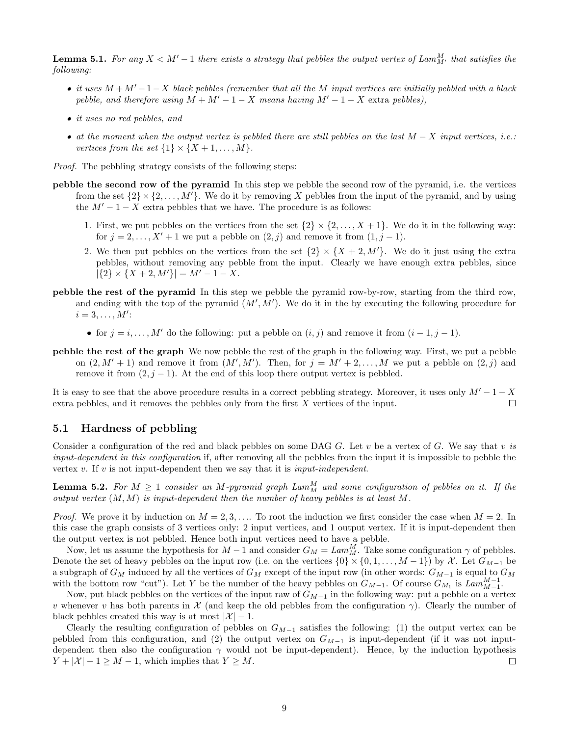<span id="page-9-1"></span>**Lemma 5.1.** For any  $X < M' - 1$  there exists a strategy that pebbles the output vertex of Lam $_{M'}^M$  that satisfies the following:

- it uses  $M + M' 1 X$  black pebbles (remember that all the M input vertices are initially pebbled with a black pebble, and therefore using  $M + M' - 1 - X$  means having  $M' - 1 - X$  extra pebbles).
- it uses no red pebbles, and
- at the moment when the output vertex is pebbled there are still pebbles on the last  $M X$  input vertices, i.e.: vertices from the set  $\{1\} \times \{X+1,\ldots,M\}.$

Proof. The pebbling strategy consists of the following steps:

- pebble the second row of the pyramid In this step we pebble the second row of the pyramid, i.e. the vertices from the set  $\{2\} \times \{2, \ldots, M'\}$ . We do it by removing X pebbles from the input of the pyramid, and by using the  $M'-1-X$  extra pebbles that we have. The procedure is as follows:
	- 1. First, we put pebbles on the vertices from the set  $\{2\} \times \{2, \ldots, X + 1\}$ . We do it in the following way: for  $j = 2, \ldots, X' + 1$  we put a pebble on  $(2, j)$  and remove it from  $(1, j - 1)$ .
	- 2. We then put pebbles on the vertices from the set  $\{2\} \times \{X + 2, M'\}$ . We do it just using the extra pebbles, without removing any pebble from the input. Clearly we have enough extra pebbles, since  $|\{2\} \times \{X + 2, M'\}| = M' - 1 - X.$
- pebble the rest of the pyramid In this step we pebble the pyramid row-by-row, starting from the third row, and ending with the top of the pyramid  $(M', M')$ . We do it in the by executing the following procedure for  $i=3,\ldots,M'$ :
	- for  $j = i, \ldots, M'$  do the following: put a pebble on  $(i, j)$  and remove it from  $(i 1, j 1)$ .
- pebble the rest of the graph We now pebble the rest of the graph in the following way. First, we put a pebble on  $(2, M' + 1)$  and remove it from  $(M', M')$ . Then, for  $j = M' + 2, \ldots, M$  we put a pebble on  $(2, j)$  and remove it from  $(2, j - 1)$ . At the end of this loop there output vertex is pebbled.

It is easy to see that the above procedure results in a correct pebbling strategy. Moreover, it uses only  $M'-1-X$ extra pebbles, and it removes the pebbles only from the first X vertices of the input.  $\Box$ 

#### 5.1 Hardness of pebbling

Consider a configuration of the red and black pebbles on some DAG G. Let v be a vertex of G. We say that v is input-dependent in this configuration if, after removing all the pebbles from the input it is impossible to pebble the vertex v. If v is not input-dependent then we say that it is *input-independent*.

<span id="page-9-0"></span>**Lemma 5.2.** For  $M \geq 1$  consider an M-pyramid graph Lam $_M^M$  and some configuration of pebbles on it. If the output vertex  $(M, M)$  is input-dependent then the number of heavy pebbles is at least M.

*Proof.* We prove it by induction on  $M = 2, 3, \ldots$  To root the induction we first consider the case when  $M = 2$ . In this case the graph consists of 3 vertices only: 2 input vertices, and 1 output vertex. If it is input-dependent then the output vertex is not pebbled. Hence both input vertices need to have a pebble.

Now, let us assume the hypothesis for  $M-1$  and consider  $G_M = Lam_M^M$ . Take some configuration  $\gamma$  of pebbles. Denote the set of heavy pebbles on the input row (i.e. on the vertices  $\{0\} \times \{0, 1, \ldots, M-1\}$ ) by X. Let  $G_{M-1}$  be a subgraph of  $G_M$  induced by all the vertices of  $G_M$  except of the input row (in other words:  $G_{M-1}$  is equal to  $G_M$ with the bottom row "cut"). Let Y be the number of the heavy pebbles on  $G_{M-1}$ . Of course  $G_{M_1}$  is  $Lam_{M-1}^{M-1}$ .

Now, put black pebbles on the vertices of the input raw of  $G_{M-1}$  in the following way: put a pebble on a vertex v whenever v has both parents in  $\mathcal X$  (and keep the old pebbles from the configuration  $\gamma$ ). Clearly the number of black pebbles created this way is at most  $|\mathcal{X}| - 1$ .

Clearly the resulting configuration of pebbles on  $G_{M-1}$  satisfies the following: (1) the output vertex can be pebbled from this configuration, and (2) the output vertex on  $G_{M-1}$  is input-dependent (if it was not inputdependent then also the configuration  $\gamma$  would not be input-dependent). Hence, by the induction hypothesis  $Y + |\mathcal{X}| - 1 \geq M - 1$ , which implies that  $Y \geq M$ .  $\Box$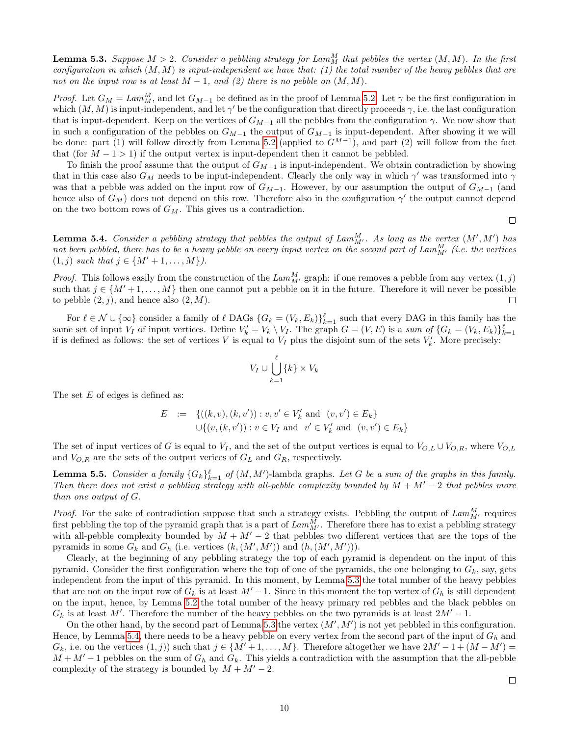<span id="page-10-0"></span>**Lemma 5.3.** Suppose  $M > 2$ . Consider a pebbling strategy for Lam<sub>M</sub> that pebbles the vertex  $(M, M)$ . In the first configuration in which  $(M, M)$  is input-independent we have that: (1) the total number of the heavy pebbles that are not on the input row is at least  $M-1$ , and (2) there is no pebble on  $(M, M)$ .

*Proof.* Let  $G_M = \text{Lam}_M^M$ , and let  $G_{M-1}$  be defined as in the proof of Lemma [5.2.](#page-9-0) Let  $\gamma$  be the first configuration in which  $(M, M)$  is input-independent, and let  $\gamma'$  be the configuration that directly proceeds  $\gamma$ , i.e. the last configuration that is input-dependent. Keep on the vertices of  $G_{M-1}$  all the pebbles from the configuration  $\gamma$ . We now show that in such a configuration of the pebbles on  $G_{M-1}$  the output of  $G_{M-1}$  is input-dependent. After showing it we will be done: part (1) will follow directly from Lemma [5.2](#page-9-0) (applied to  $G^{M-1}$ ), and part (2) will follow from the fact that (for  $M-1>1$ ) if the output vertex is input-dependent then it cannot be pebbled.

To finish the proof assume that the output of  $G_{M-1}$  is input-independent. We obtain contradiction by showing that in this case also  $G_M$  needs to be input-independent. Clearly the only way in which  $\gamma'$  was transformed into  $\gamma$ was that a pebble was added on the input row of  $G_{M-1}$ . However, by our assumption the output of  $G_{M-1}$  (and hence also of  $G_M$ ) does not depend on this row. Therefore also in the configuration  $\gamma'$  the output cannot depend on the two bottom rows of  $G_M$ . This gives us a contradiction.

 $\Box$ 

<span id="page-10-1"></span>**Lemma 5.4.** Consider a pebbling strategy that pebbles the output of  $Lam_{M'}^M$ . As long as the vertex  $(M', M')$  has not been pebbled, there has to be a heavy pebble on every input vertex on the second part of  $Lam_{M'}^M$  (i.e. the vertices  $(1, j)$  such that  $j \in \{M' + 1, ..., M\}$ .

*Proof.* This follows easily from the construction of the  $Lam_{M'}^M$  graph: if one removes a pebble from any vertex  $(1, j)$ such that  $j \in \{M'+1, \ldots, M\}$  then one cannot put a pebble on it in the future. Therefore it will never be possible to pebble  $(2, j)$ , and hence also  $(2, M)$ .  $\Box$ 

For  $\ell \in \mathcal{N} \cup \{\infty\}$  consider a family of  $\ell$  DAGs  $\{G_k = (V_k, E_k)\}_{k=1}^{\ell}$  such that every DAG in this family has the same set of input  $V_I$  of input vertices. Define  $V'_k = V_k \setminus V_I$ . The graph  $G = (V, E)$  is a sum of  $\{G_k = (V_k, E_k)\}_{k=1}^{\ell}$ if is defined as follows: the set of vertices V is equal to  $V_I$  plus the disjoint sum of the sets  $V'_k$ . More precisely:

$$
V_I \cup \bigcup_{k=1}^{\ell} \{k\} \times V_k
$$

The set  $E$  of edges is defined as:

$$
E := \{ ((k, v), (k, v')) : v, v' \in V'_k \text{ and } (v, v') \in E_k \}
$$
  

$$
\cup \{ (v, (k, v')) : v \in V_I \text{ and } v' \in V'_k \text{ and } (v, v') \in E_k \}
$$

The set of input vertices of G is equal to  $V_I$ , and the set of the output vertices is equal to  $V_{O,L} \cup V_{O,R}$ , where  $V_{O,L}$ and  $V_{O,R}$  are the sets of the output verices of  $G_L$  and  $G_R$ , respectively.

<span id="page-10-2"></span>**Lemma 5.5.** Consider a family  $\{G_k\}_{k=1}^{\ell}$  of  $(M, M')$ -lambda graphs. Let G be a sum of the graphs in this family. Then there does not exist a pebbling strategy with all-pebble complexity bounded by  $M + M' - 2$  that pebbles more than one output of G.

*Proof.* For the sake of contradiction suppose that such a strategy exists. Pebbling the output of  $Lam_M^M$ , requires first pebbling the top of the pyramid graph that is a part of  $Lam_M^M$ . Therefore there has to exist a pebbling strategy with all-pebble complexity bounded by  $M + M' - 2$  that pebbles two different vertices that are the tops of the pyramids in some  $G_k$  and  $G_h$  (i.e. vertices  $(k, (M', M'))$  and  $(h, (M', M'))$ ).

Clearly, at the beginning of any pebbling strategy the top of each pyramid is dependent on the input of this pyramid. Consider the first configuration where the top of one of the pyramids, the one belonging to  $G_k$ , say, gets independent from the input of this pyramid. In this moment, by Lemma [5.3](#page-10-0) the total number of the heavy pebbles that are not on the input row of  $G_k$  is at least  $M' - 1$ . Since in this moment the top vertex of  $G_h$  is still dependent on the input, hence, by Lemma [5.2](#page-9-0) the total number of the heavy primary red pebbles and the black pebbles on  $G_k$  is at least M'. Therefore the number of the heavy pebbles on the two pyramids is at least  $2M'-1$ .

On the other hand, by the second part of Lemma [5.3](#page-10-0) the vertex  $(M', M')$  is not yet pebbled in this configuration. Hence, by Lemma [5.4,](#page-10-1) there needs to be a heavy pebble on every vertex from the second part of the input of  $G_h$  and  $G_k$ , i.e. on the vertices  $(1, j)$  such that  $j \in \{M' + 1, \ldots, M\}$ . Therefore altogether we have  $2M' - 1 + (M - M') =$  $M + M' - 1$  pebbles on the sum of  $G_h$  and  $G_k$ . This yields a contradiction with the assumption that the all-pebble complexity of the strategy is bounded by  $M + M' - 2$ .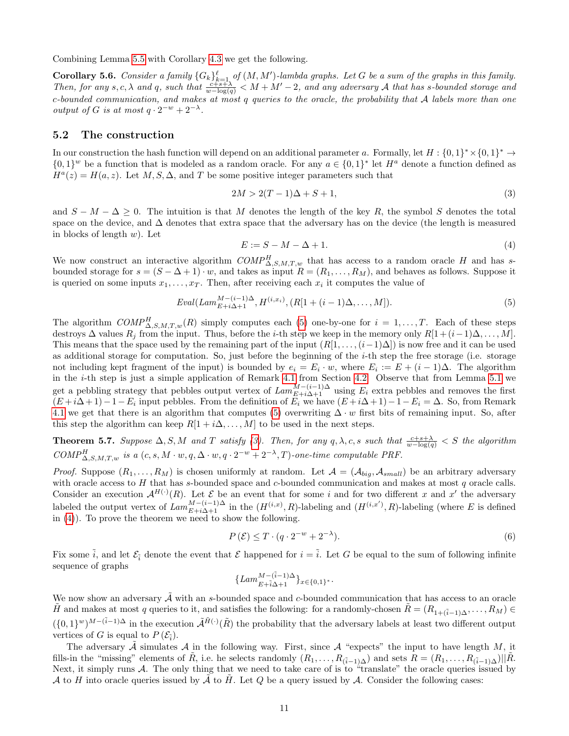Combining Lemma [5.5](#page-10-2) with Corollary [4.3](#page-8-5) we get the following.

<span id="page-11-3"></span>**Corollary 5.6.** Consider a family  ${G_k}_{k=1}^{\ell}$  of  $(M, M')$ -lambda graphs. Let G be a sum of the graphs in this family. Then, for any s, c,  $\lambda$  and q, such that  $\frac{c+s+\lambda}{w-\log(q)} < M+M'-2$ , and any adversary A that has s-bounded storage and c-bounded communication, and makes at most  $q$  queries to the oracle, the probability that  $A$  labels more than one output of G is at most  $q \cdot 2^{-w} + 2^{-\lambda}$ .

#### 5.2 The construction

In our construction the hash function will depend on an additional parameter a. Formally, let  $H: \{0,1\}^* \times \{0,1\}^* \to$  $\{0,1\}^w$  be a function that is modeled as a random oracle. For any  $a \in \{0,1\}^*$  let  $H^a$  denote a function defined as  $H^{a}(z) = H(a, z)$ . Let  $M, S, \Delta$ , and T be some positive integer parameters such that

<span id="page-11-0"></span>
$$
2M > 2(T - 1)\Delta + S + 1,\tag{3}
$$

and  $S - M - \Delta \geq 0$ . The intuition is that M denotes the length of the key R, the symbol S denotes the total space on the device, and  $\Delta$  denotes that extra space that the adversary has on the device (the length is measured in blocks of length  $w$ ). Let

<span id="page-11-2"></span>
$$
E := S - M - \Delta + 1. \tag{4}
$$

We now construct an interactive algorithm  $COMP^H_{\Delta,S,M,T,w}$  that has access to a random oracle H and has sbounded storage for  $s = (S - \Delta + 1) \cdot w$ , and takes as input  $R = (R_1, \ldots, R_M)$ , and behaves as follows. Suppose it is queried on some inputs  $x_1, \ldots, x_T$ . Then, after receiving each  $x_i$  it computes the value of

<span id="page-11-1"></span>
$$
Eval( Lam_{E+i\Delta+1}^{M-(i-1)\Delta}, H^{(i,x_i)}, (R[1+(i-1)\Delta, ..., M]).
$$
\n(5)

The algorithm  $COMP^H_{\Delta,S,M,T,w}(R)$  simply computes each [\(5\)](#page-11-1) one-by-one for  $i=1,\ldots,T$ . Each of these steps destroys  $\Delta$  values  $R_i$  from the input. Thus, before the *i*-th step we keep in the memory only  $R[1 + (i-1)\Delta, \ldots, M]$ . This means that the space used by the remaining part of the input  $(R[1,\ldots,(i-1)\Delta])$  is now free and it can be used as additional storage for computation. So, just before the beginning of the  $i$ -th step the free storage (i.e. storage not including kept fragment of the input) is bounded by  $e_i = E_i \cdot w$ , where  $E_i := E + (i - 1)\Delta$ . The algorithm in the i-th step is just a simple application of Remark [4.1](#page-6-0) from Section [4.2.](#page-6-1) Observe that from Lemma [5.1](#page-9-1) we get a pebbling strategy that pebbles output vertex of  $Lam_{E+i\Delta+1}^{M-(i-1)\Delta}$  using  $E_i$  extra pebbles and removes the first  $(E+i\Delta+1)-1-E_i$  input pebbles. From the definition of  $E_i$  we have  $(E+i\Delta+1)-1-E_i=\Delta$ . So, from Remark [4.1](#page-6-0) we get that there is an algorithm that computes [\(5\)](#page-11-1) overwriting  $\Delta \cdot w$  first bits of remaining input. So, after this step the algorithm can keep  $R[1 + i\Delta, \ldots, M]$  to be used in the next steps.

<span id="page-11-5"></span>**Theorem 5.7.** Suppose  $\Delta$ , S, M and T satisfy [\(3\)](#page-11-0). Then, for any  $q$ ,  $\lambda$ ,  $c$ ,  $s$  such that  $\frac{c+s+\lambda}{w-\log(q)} < S$  the algorithm  $COMP^H_{\Delta,S,M,T,w}$  is a  $(c, s, M\cdot w, q, \Delta \cdot w, q \cdot 2^{-w}+2^{-\lambda}, T)$ -one-time computable PRF.

*Proof.* Suppose  $(R_1, \ldots, R_M)$  is chosen uniformly at random. Let  $\mathcal{A} = (\mathcal{A}_{biq}, \mathcal{A}_{small})$  be an arbitrary adversary with oracle access to H that has s-bounded space and c-bounded communication and makes at most q oracle calls. Consider an execution  $\mathcal{A}^{H(\cdot)}(R)$ . Let  $\mathcal E$  be an event that for some i and for two different x and x' the adversary labeled the output vertex of  $Lam_{E+i\Delta+1}^{M-(i-1)\Delta}$  in the  $(H^{(i,x)},R)$ -labeling and  $(H^{(i,x')},R)$ -labeling (where E is defined in [\(4\)](#page-11-2)). To prove the theorem we need to show the following.

<span id="page-11-4"></span>
$$
P(\mathcal{E}) \le T \cdot (q \cdot 2^{-w} + 2^{-\lambda}).\tag{6}
$$

Fix some  $\tilde{i}$ , and let  $\mathcal{E}_{\tilde{i}}$  denote the event that  $\mathcal E$  happened for  $i = \tilde{i}$ . Let G be equal to the sum of following infinite sequence of graphs

$$
\{Lam_{E+\tilde{i}\Delta+1}^{M-(\tilde{i}-1)\Delta}\}_{x\in\{0,1\}^*}.
$$

We now show an adversary  $\tilde{\mathcal{A}}$  with an s-bounded space and c-bounded communication that has access to an oracle  $\tilde{H}$  and makes at most q queries to it, and satisfies the following: for a randomly-chosen  $\tilde{R} = (R_{1+i\tilde{j}-1\lambda}, \ldots, R_M) \in$  $({0,1}^w)^{M-(\tilde{i}-1)\Delta}$  in the execution  $\tilde{\mathcal{A}}^{\tilde{H}(\cdot)}(\tilde{R})$  the probability that the adversary labels at least two different output vertices of G is equal to  $P(\mathcal{E}_{\tilde{i}})$ .

The adversary  $\tilde{\mathcal{A}}$  simulates  $\mathcal{A}$  in the following way. First, since  $\mathcal{A}$  "expects" the input to have length  $M$ , it fills-in the "missing" elements of R, i.e. he selects randomly  $(R_1, \ldots, R_{(\tilde{i}-1)\Delta})$  and sets  $R = (R_1, \ldots, R_{(\tilde{i}-1)\Delta})||R$ . Next, it simply runs A. The only thing that we need to take care of is to "translate" the oracle queries issued by A to H into oracle queries issued by  $\tilde{\mathcal{A}}$  to  $\tilde{H}$ . Let Q be a query issued by A. Consider the following cases: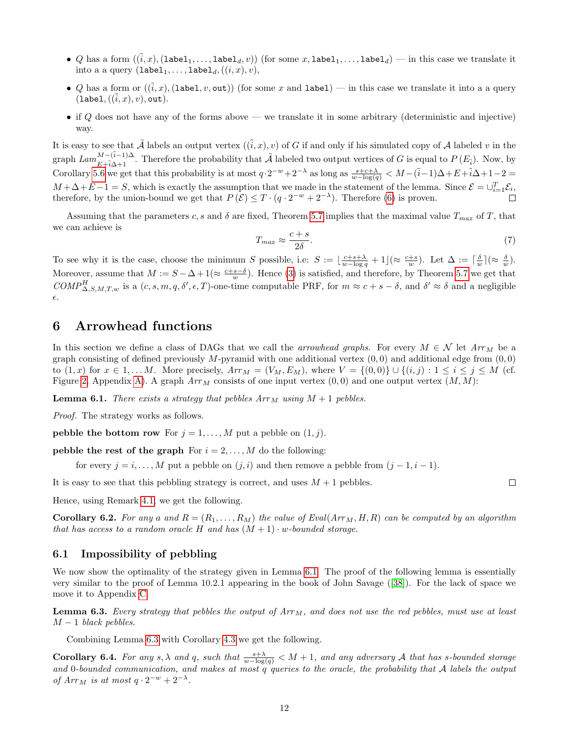- Q has a form  $((i, x), (\texttt{label}_1, \ldots, \texttt{label}_d, v))$  (for some x,  $\texttt{label}_1, \ldots, \texttt{label}_d)$  in this case we translate it into a a query  $(\texttt{label}_1, \ldots, \texttt{label}_d, ((i, x), v),$
- Q has a form or  $((i, x), (1$ abel, v, out)) (for some x and label) in this case we translate it into a a query  $(\tilde{a}, x), v$ , out).
- if  $Q$  does not have any of the forms above we translate it in some arbitrary (deterministic and injective) way.

It is easy to see that  $\tilde{A}$  labels an output vertex  $((\tilde{i}, x), v)$  of G if and only if his simulated copy of A labeled v in the graph  $Lam_{E+\tilde{i}\Delta+1}^{M-(\tilde{i}-1)\Delta}$ . Therefore the probability that  $\tilde{\mathcal{A}}$  labeled two output vertices of G is equal to  $P(E_{\tilde{i}})$ . Now, by Corollary [5.6](#page-11-3) we get that this probability is at most  $q \cdot 2^{-w} + 2^{-\lambda}$  as long as  $\frac{s+c+\lambda}{w-\log(q)} < M - (\tilde{i}-1)\Delta + E + \tilde{i}\Delta + 1 - 2 =$  $M + \Delta + E - 1 = S$ , which is exactly the assumption that we made in the statement of the lemma. Since  $\mathcal{E} = \cup_{i=1}^{T} \mathcal{E}_i$ , therefore, by the union-bound we get that  $P(\mathcal{E}) \leq T \cdot (q \cdot 2^{-w} + 2^{-\lambda})$ . Therefore [\(6\)](#page-11-4) is proven. П

Assuming that the parameters c, s and  $\delta$  are fixed, Theorem [5.7](#page-11-5) implies that the maximal value  $T_{max}$  of T, that we can achieve is

$$
T_{max} \approx \frac{c+s}{2\delta}.\tag{7}
$$

To see why it is the case, choose the minimum S possible, i.e:  $S := \lfloor \frac{c+s+\lambda}{w-\log q} + 1 \rfloor (\approx \frac{c+s}{w})$ . Let  $\Delta := \lceil \frac{\delta}{w} \rceil (\approx \frac{\delta}{w})$ . Moreover, assume that  $M := S - \Delta + 1 \left( \approx \frac{c+s-\delta}{w} \right)$ . Hence [\(3\)](#page-11-0) is satisfied, and therefore, by Theorem [5.7](#page-11-5) we get that  $COMP^H_{\Delta,S,M,T,w}$  is a  $(c, s, m, q, \delta', \epsilon, T)$ -one-time computable PRF, for  $m \approx c + s - \delta$ , and  $\delta' \approx \delta$  and a negligible  $\epsilon$ .

### <span id="page-12-0"></span>6 Arrowhead functions

In this section we define a class of DAGs that we call the arrowhead graphs. For every  $M \in \mathcal{N}$  let  $Arr_M$  be a graph consisting of defined previously M-pyramid with one additional vertex  $(0,0)$  and additional edge from  $(0,0)$ to  $(1, x)$  for  $x \in 1, \ldots M$ . More precisely,  $Arr_M = (V_M, E_M)$ , where  $V = \{(0,0)\} \cup \{(i,j): 1 \le i \le j \le M\}$  (cf. Figure [2,](#page-16-2) Appendix [A\)](#page-16-1). A graph  $Arr_M$  consists of one input vertex  $(0,0)$  and one output vertex  $(M, M)$ :

<span id="page-12-1"></span>**Lemma 6.1.** There exists a strategy that pebbles  $Arr_M$  using  $M + 1$  pebbles.

Proof. The strategy works as follows.

**pebble the bottom row** For  $j = 1, ..., M$  put a pebble on  $(1, j)$ .

**pebble the rest of the graph** For  $i = 2, ..., M$  do the following:

for every  $j = i, \ldots, M$  put a pebble on  $(j, i)$  and then remove a pebble from  $(j - 1, i - 1)$ .

It is easy to see that this pebbling strategy is correct, and uses  $M + 1$  pebbles.

Hence, using Remark [4.1,](#page-6-0) we get the following.

**Corollary 6.2.** For any a and  $R = (R_1, \ldots, R_M)$  the value of Eval( $Arr_M$ , H, R) can be computed by an algorithm that has access to a random oracle H and has  $(M + 1) \cdot w$ -bounded storage.

#### 6.1 Impossibility of pebbling

We now show the optimality of the strategy given in Lemma [6.1.](#page-12-1) The proof of the following lemma is essentially very similar to the proof of Lemma 10.2.1 appearing in the book of John Savage ([\[38\]](#page-15-5)). For the lack of space we move it to Appendix [C.](#page-19-0)

<span id="page-12-2"></span>**Lemma 6.3.** Every strategy that pebbles the output of  $Arr_M$ , and does not use the red pebbles, must use at least  $M-1$  black pebbles.

Combining Lemma [6.3](#page-12-2) with Corollary [4.3](#page-8-5) we get the following.

**Corollary 6.4.** For any s,  $\lambda$  and q, such that  $\frac{s+\lambda}{w-\log(q)} < M+1$ , and any adversary A that has s-bounded storage and 0-bounded communication, and makes at most  $\tilde{q}$  queries to the oracle, the probability that A labels the output of  $Arr_M$  is at most  $q \cdot 2^{-w} + 2^{-\lambda}$ .

 $\Box$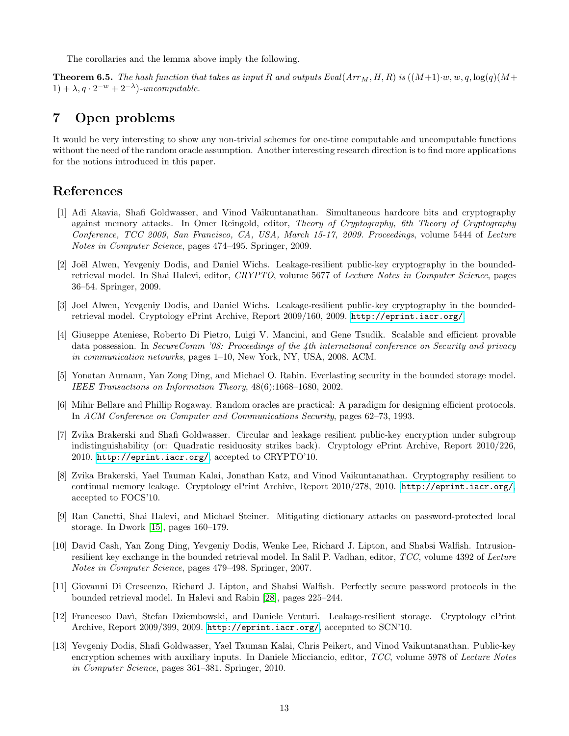The corollaries and the lemma above imply the following.

**Theorem 6.5.** The hash function that takes as input R and outputs  $Eval(Arr_M, H, R)$  is  $((M+1)·w, w, q, log(q)(M+q))$  $1) + \lambda, q \cdot 2^{-w} + 2^{-\lambda}$ )-uncomputable.

## 7 Open problems

It would be very interesting to show any non-trivial schemes for one-time computable and uncomputable functions without the need of the random oracle assumption. Another interesting research direction is to find more applications for the notions introduced in this paper.

## References

- <span id="page-13-0"></span>[1] Adi Akavia, Shafi Goldwasser, and Vinod Vaikuntanathan. Simultaneous hardcore bits and cryptography against memory attacks. In Omer Reingold, editor, Theory of Cryptography, 6th Theory of Cryptography Conference, TCC 2009, San Francisco, CA, USA, March 15-17, 2009. Proceedings, volume 5444 of Lecture Notes in Computer Science, pages 474–495. Springer, 2009.
- <span id="page-13-7"></span>[2] Joël Alwen, Yevgeniy Dodis, and Daniel Wichs. Leakage-resilient public-key cryptography in the boundedretrieval model. In Shai Halevi, editor, CRYPTO, volume 5677 of Lecture Notes in Computer Science, pages 36–54. Springer, 2009.
- <span id="page-13-8"></span>[3] Joel Alwen, Yevgeniy Dodis, and Daniel Wichs. Leakage-resilient public-key cryptography in the boundedretrieval model. Cryptology ePrint Archive, Report 2009/160, 2009. <http://eprint.iacr.org/>.
- <span id="page-13-10"></span>[4] Giuseppe Ateniese, Roberto Di Pietro, Luigi V. Mancini, and Gene Tsudik. Scalable and efficient provable data possession. In SecureComm '08: Proceedings of the 4th international conference on Security and privacy in communication netowrks, pages 1–10, New York, NY, USA, 2008. ACM.
- <span id="page-13-11"></span>[5] Yonatan Aumann, Yan Zong Ding, and Michael O. Rabin. Everlasting security in the bounded storage model. IEEE Transactions on Information Theory, 48(6):1668–1680, 2002.
- <span id="page-13-12"></span>[6] Mihir Bellare and Phillip Rogaway. Random oracles are practical: A paradigm for designing efficient protocols. In ACM Conference on Computer and Communications Security, pages 62–73, 1993.
- <span id="page-13-4"></span>[7] Zvika Brakerski and Shafi Goldwasser. Circular and leakage resilient public-key encryption under subgroup indistinguishability (or: Quadratic residuosity strikes back). Cryptology ePrint Archive, Report 2010/226, 2010. <http://eprint.iacr.org/>, accepted to CRYPTO'10.
- <span id="page-13-3"></span>[8] Zvika Brakerski, Yael Tauman Kalai, Jonathan Katz, and Vinod Vaikuntanathan. Cryptography resilient to continual memory leakage. Cryptology ePrint Archive, Report 2010/278, 2010. <http://eprint.iacr.org/>, accepted to FOCS'10.
- <span id="page-13-9"></span>[9] Ran Canetti, Shai Halevi, and Michael Steiner. Mitigating dictionary attacks on password-protected local storage. In Dwork [\[15\]](#page-14-18), pages 160–179.
- <span id="page-13-6"></span>[10] David Cash, Yan Zong Ding, Yevgeniy Dodis, Wenke Lee, Richard J. Lipton, and Shabsi Walfish. Intrusionresilient key exchange in the bounded retrieval model. In Salil P. Vadhan, editor, TCC, volume 4392 of Lecture Notes in Computer Science, pages 479–498. Springer, 2007.
- <span id="page-13-5"></span>[11] Giovanni Di Crescenzo, Richard J. Lipton, and Shabsi Walfish. Perfectly secure password protocols in the bounded retrieval model. In Halevi and Rabin [\[28\]](#page-14-19), pages 225–244.
- <span id="page-13-1"></span>[12] Francesco Dav`ı, Stefan Dziembowski, and Daniele Venturi. Leakage-resilient storage. Cryptology ePrint Archive, Report 2009/399, 2009. <http://eprint.iacr.org/>, accepnted to SCN'10.
- <span id="page-13-2"></span>[13] Yevgeniy Dodis, Shafi Goldwasser, Yael Tauman Kalai, Chris Peikert, and Vinod Vaikuntanathan. Public-key encryption schemes with auxiliary inputs. In Daniele Micciancio, editor,  $TCC$ , volume 5978 of Lecture Notes in Computer Science, pages 361–381. Springer, 2010.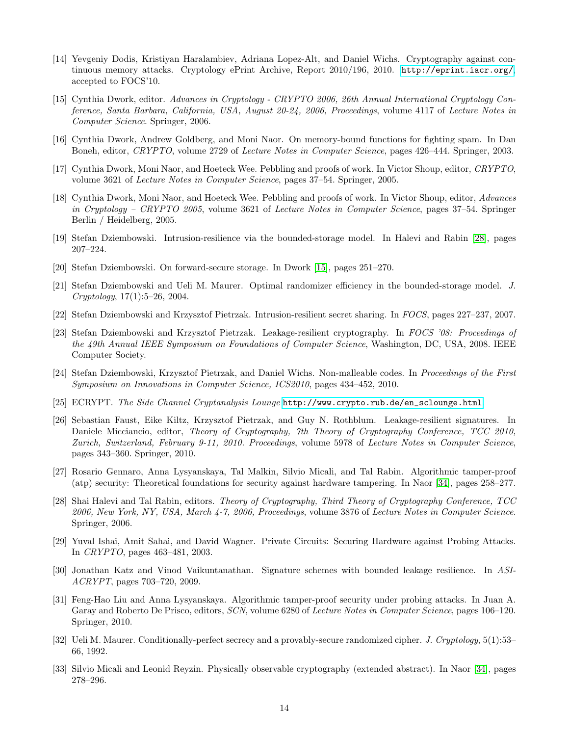- <span id="page-14-5"></span>[14] Yevgeniy Dodis, Kristiyan Haralambiev, Adriana Lopez-Alt, and Daniel Wichs. Cryptography against continuous memory attacks. Cryptology ePrint Archive, Report 2010/196, 2010. <http://eprint.iacr.org/>, accepted to FOCS'10.
- <span id="page-14-18"></span>[15] Cynthia Dwork, editor. Advances in Cryptology - CRYPTO 2006, 26th Annual International Cryptology Conference, Santa Barbara, California, USA, August 20-24, 2006, Proceedings, volume 4117 of Lecture Notes in Computer Science. Springer, 2006.
- <span id="page-14-16"></span>[16] Cynthia Dwork, Andrew Goldberg, and Moni Naor. On memory-bound functions for fighting spam. In Dan Boneh, editor, CRYPTO, volume 2729 of Lecture Notes in Computer Science, pages 426–444. Springer, 2003.
- <span id="page-14-13"></span>[17] Cynthia Dwork, Moni Naor, and Hoeteck Wee. Pebbling and proofs of work. In Victor Shoup, editor, CRYPTO, volume 3621 of Lecture Notes in Computer Science, pages 37–54. Springer, 2005.
- <span id="page-14-17"></span>[18] Cynthia Dwork, Moni Naor, and Hoeteck Wee. Pebbling and proofs of work. In Victor Shoup, editor, Advances in Cryptology – CRYPTO 2005, volume 3621 of Lecture Notes in Computer Science, pages 37–54. Springer Berlin / Heidelberg, 2005.
- <span id="page-14-8"></span>[19] Stefan Dziembowski. Intrusion-resilience via the bounded-storage model. In Halevi and Rabin [\[28\]](#page-14-19), pages 207–224.
- <span id="page-14-7"></span>[20] Stefan Dziembowski. On forward-secure storage. In Dwork [\[15\]](#page-14-18), pages 251–270.
- <span id="page-14-15"></span>[21] Stefan Dziembowski and Ueli M. Maurer. Optimal randomizer efficiency in the bounded-storage model. J. Cryptology, 17(1):5–26, 2004.
- <span id="page-14-9"></span>[22] Stefan Dziembowski and Krzysztof Pietrzak. Intrusion-resilient secret sharing. In FOCS, pages 227–237, 2007.
- <span id="page-14-3"></span>[23] Stefan Dziembowski and Krzysztof Pietrzak. Leakage-resilient cryptography. In FOCS '08: Proceedings of the 49th Annual IEEE Symposium on Foundations of Computer Science, Washington, DC, USA, 2008. IEEE Computer Society.
- <span id="page-14-11"></span>[24] Stefan Dziembowski, Krzysztof Pietrzak, and Daniel Wichs. Non-malleable codes. In Proceedings of the First Symposium on Innovations in Computer Science, ICS2010, pages 434–452, 2010.
- <span id="page-14-0"></span>[25] ECRYPT. The Side Channel Cryptanalysis Lounge [http://www.crypto.rub.de/en\\_sclounge.html](http://www.crypto.rub.de/en_sclounge.html).
- <span id="page-14-6"></span>[26] Sebastian Faust, Eike Kiltz, Krzysztof Pietrzak, and Guy N. Rothblum. Leakage-resilient signatures. In Daniele Micciancio, editor, Theory of Cryptography, 7th Theory of Cryptography Conference, TCC 2010. Zurich, Switzerland, February 9-11, 2010. Proceedings, volume 5978 of Lecture Notes in Computer Science, pages 343–360. Springer, 2010.
- <span id="page-14-10"></span>[27] Rosario Gennaro, Anna Lysyanskaya, Tal Malkin, Silvio Micali, and Tal Rabin. Algorithmic tamper-proof (atp) security: Theoretical foundations for security against hardware tampering. In Naor [\[34\]](#page-15-6), pages 258–277.
- <span id="page-14-19"></span>[28] Shai Halevi and Tal Rabin, editors. Theory of Cryptography, Third Theory of Cryptography Conference, TCC 2006, New York, NY, USA, March 4-7, 2006, Proceedings, volume 3876 of Lecture Notes in Computer Science. Springer, 2006.
- <span id="page-14-1"></span>[29] Yuval Ishai, Amit Sahai, and David Wagner. Private Circuits: Securing Hardware against Probing Attacks. In CRYPTO, pages 463–481, 2003.
- <span id="page-14-4"></span>[30] Jonathan Katz and Vinod Vaikuntanathan. Signature schemes with bounded leakage resilience. In ASI-ACRYPT, pages 703–720, 2009.
- <span id="page-14-12"></span>[31] Feng-Hao Liu and Anna Lysyanskaya. Algorithmic tamper-proof security under probing attacks. In Juan A. Garay and Roberto De Prisco, editors, *SCN*, volume 6280 of Lecture Notes in Computer Science, pages 106–120. Springer, 2010.
- <span id="page-14-14"></span>[32] Ueli M. Maurer. Conditionally-perfect secrecy and a provably-secure randomized cipher. J. Cryptology, 5(1):53– 66, 1992.
- <span id="page-14-2"></span>[33] Silvio Micali and Leonid Reyzin. Physically observable cryptography (extended abstract). In Naor [\[34\]](#page-15-6), pages 278–296.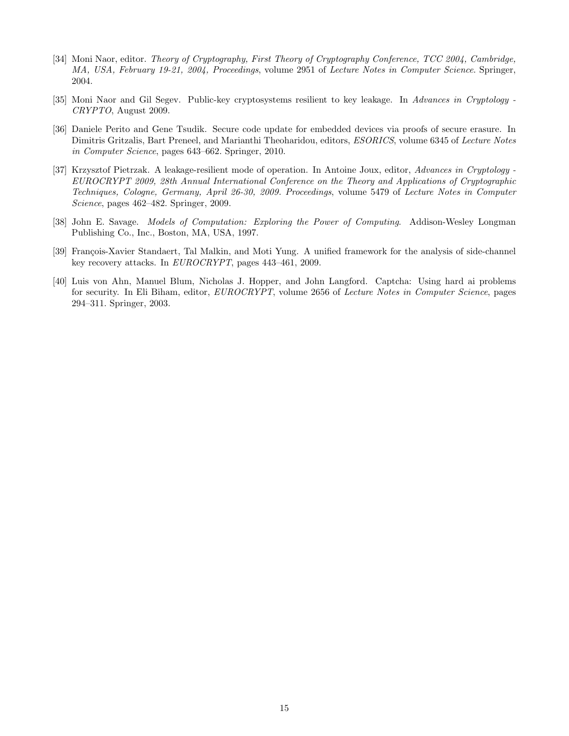- <span id="page-15-6"></span>[34] Moni Naor, editor. Theory of Cryptography, First Theory of Cryptography Conference, TCC 2004, Cambridge, MA, USA, February 19-21, 2004, Proceedings, volume 2951 of Lecture Notes in Computer Science. Springer, 2004.
- <span id="page-15-1"></span>[35] Moni Naor and Gil Segev. Public-key cryptosystems resilient to key leakage. In Advances in Cryptology -CRYPTO, August 2009.
- <span id="page-15-3"></span>[36] Daniele Perito and Gene Tsudik. Secure code update for embedded devices via proofs of secure erasure. In Dimitris Gritzalis, Bart Preneel, and Marianthi Theoharidou, editors, ESORICS, volume 6345 of Lecture Notes in Computer Science, pages 643–662. Springer, 2010.
- <span id="page-15-0"></span>[37] Krzysztof Pietrzak. A leakage-resilient mode of operation. In Antoine Joux, editor, Advances in Cryptology - EUROCRYPT 2009, 28th Annual International Conference on the Theory and Applications of Cryptographic Techniques, Cologne, Germany, April 26-30, 2009. Proceedings, volume 5479 of Lecture Notes in Computer Science, pages 462–482. Springer, 2009.
- <span id="page-15-5"></span>[38] John E. Savage. Models of Computation: Exploring the Power of Computing. Addison-Wesley Longman Publishing Co., Inc., Boston, MA, USA, 1997.
- <span id="page-15-2"></span>[39] François-Xavier Standaert, Tal Malkin, and Moti Yung. A unified framework for the analysis of side-channel key recovery attacks. In EUROCRYPT, pages 443–461, 2009.
- <span id="page-15-4"></span>[40] Luis von Ahn, Manuel Blum, Nicholas J. Hopper, and John Langford. Captcha: Using hard ai problems for security. In Eli Biham, editor, EUROCRYPT, volume 2656 of Lecture Notes in Computer Science, pages 294–311. Springer, 2003.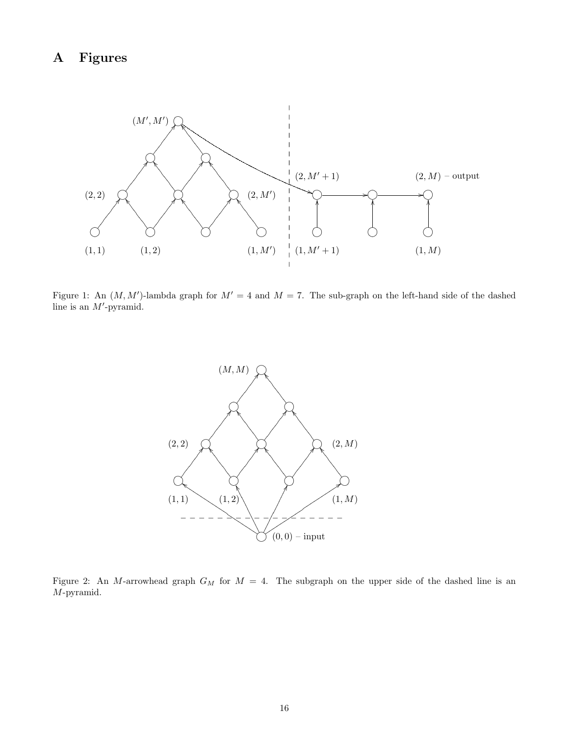# <span id="page-16-1"></span>A Figures



<span id="page-16-0"></span>Figure 1: An  $(M, M')$ -lambda graph for  $M' = 4$  and  $M = 7$ . The sub-graph on the left-hand side of the dashed line is an  $M'$ -pyramid.



<span id="page-16-2"></span>Figure 2: An M-arrowhead graph  $G_M$  for  $M = 4$ . The subgraph on the upper side of the dashed line is an M-pyramid.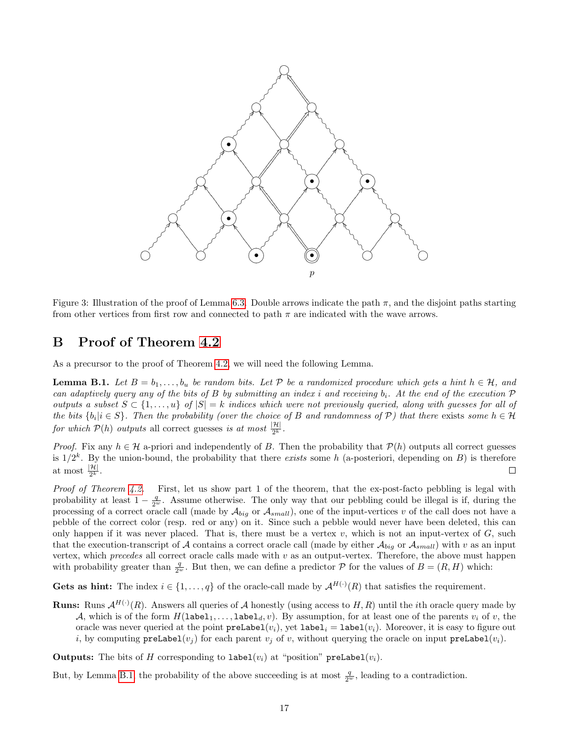

<span id="page-17-2"></span>Figure 3: Illustration of the proof of Lemma [6.3.](#page-12-2) Double arrows indicate the path  $\pi$ , and the disjoint paths starting from other vertices from first row and connected to path  $\pi$  are indicated with the wave arrows.

## <span id="page-17-0"></span>B Proof of Theorem [4.2](#page-8-1)

As a precursor to the proof of Theorem [4.2,](#page-8-1) we will need the following Lemma.

<span id="page-17-1"></span>**Lemma B.1.** Let  $B = b_1, \ldots, b_u$  be random bits. Let  $P$  be a randomized procedure which gets a hint  $h \in \mathcal{H}$ , and can adaptively query any of the bits of B by submitting an index i and receiving  $b_i$ . At the end of the execution  $P$ outputs a subset  $S \subset \{1,\ldots,u\}$  of  $|S|=k$  indices which were not previously queried, along with guesses for all of the bits  $\{b_i | i \in S\}$ . Then the probability (over the choice of B and randomness of P) that there exists some  $h \in H$ for which  $P(h)$  outputs all correct guesses is at most  $\frac{|\mathcal{H}|}{2^k}$ .

*Proof.* Fix any  $h \in \mathcal{H}$  a-priori and independently of B. Then the probability that  $\mathcal{P}(h)$  outputs all correct guesses is  $1/2^k$ . By the union-bound, the probability that there exists some h (a-posteriori, depending on B) is therefore at most  $\frac{|\mathcal{H}|}{2^k}$ .  $\Box$ 

Proof of Theorem [4.2.](#page-8-1) First, let us show part 1 of the theorem, that the ex-post-facto pebbling is legal with probability at least  $1 - \frac{q}{2^w}$ . Assume otherwise. The only way that our pebbling could be illegal is if, during the processing of a correct oracle call (made by  $\mathcal{A}_{bia}$  or  $\mathcal{A}_{small}$ ), one of the input-vertices v of the call does not have a pebble of the correct color (resp. red or any) on it. Since such a pebble would never have been deleted, this can only happen if it was never placed. That is, there must be a vertex  $v$ , which is not an input-vertex of  $G$ , such that the execution-transcript of A contains a correct oracle call (made by either  $\mathcal{A}_{big}$  or  $\mathcal{A}_{small}$ ) with v as an input vertex, which *precedes* all correct oracle calls made with  $v$  as an output-vertex. Therefore, the above must happen with probability greater than  $\frac{q}{2^w}$ . But then, we can define a predictor P for the values of  $B = (R, H)$  which:

Gets as hint: The index  $i \in \{1, ..., q\}$  of the oracle-call made by  $\mathcal{A}^{H(\cdot)}(R)$  that satisfies the requirement.

**Runs:** Runs  $\mathcal{A}^{H(\cdot)}(R)$ . Answers all queries of A honestly (using access to H, R) until the *i*th oracle query made by A, which is of the form  $H(\mathtt{label}_1, \ldots, \mathtt{label}_d, v)$ . By assumption, for at least one of the parents  $v_i$  of  $v$ , the oracle was never queried at the point  $preLabel(v_i)$ , yet  $label_i = label(v_i)$ . Moreover, it is easy to figure out i, by computing  $\texttt{preLabel}(v_i)$  for each parent  $v_i$  of v, without querying the oracle on input  $\texttt{preLabel}(v_i)$ .

**Outputs:** The bits of H corresponding to label( $v_i$ ) at "position" preLabel( $v_i$ ).

But, by Lemma [B.1,](#page-17-1) the probability of the above succeeding is at most  $\frac{q}{2^w}$ , leading to a contradiction.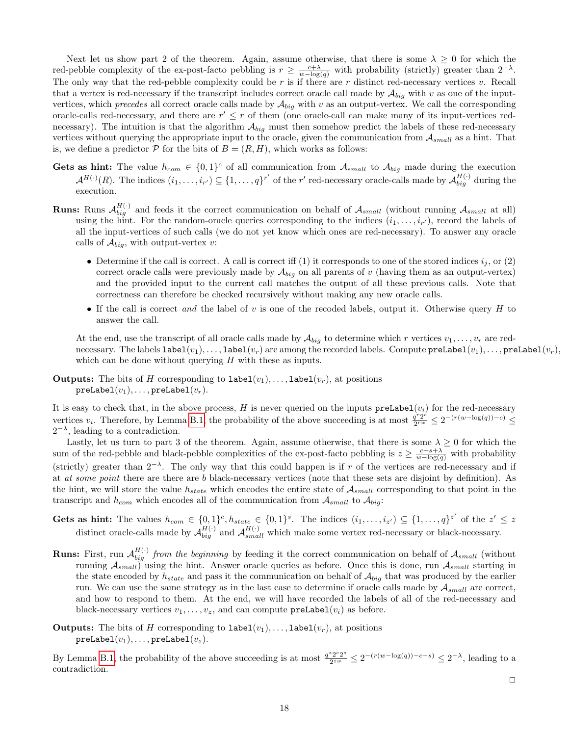Next let us show part 2 of the theorem. Again, assume otherwise, that there is some  $\lambda \geq 0$  for which the red-pebble complexity of the ex-post-facto pebbling is  $r \geq \frac{c+\lambda}{w-\log(q)}$  with probability (strictly) greater than  $2^{-\lambda}$ . The only way that the red-pebble complexity could be r is if there are r distinct red-necessary vertices  $v$ . Recall that a vertex is red-necessary if the transcript includes correct oracle call made by  $\mathcal{A}_{big}$  with v as one of the inputvertices, which precedes all correct oracle calls made by  $\mathcal{A}_{big}$  with v as an output-vertex. We call the corresponding oracle-calls red-necessary, and there are  $r' \leq r$  of them (one oracle-call can make many of its input-vertices rednecessary). The intuition is that the algorithm  $A_{big}$  must then somehow predict the labels of these red-necessary vertices without querying the appropriate input to the oracle, given the communication from  $A_{small}$  as a hint. That is, we define a predictor P for the bits of  $B = (R, H)$ , which works as follows:

- Gets as hint: The value  $h_{com} \in \{0,1\}^c$  of all communication from  $\mathcal{A}_{small}$  to  $\mathcal{A}_{big}$  made during the execution  $\mathcal{A}^{H(\cdot)}(R)$ . The indices  $(i_1,\ldots,i_{r'}) \subseteq \{1,\ldots,q\}^{r'}$  of the r' red-necessary oracle-calls made by  $\mathcal{A}_{big}^{H(\cdot)}$  during the execution.
- **Runs:** Runs  $\mathcal{A}_{big}^{H(\cdot)}$  and feeds it the correct communication on behalf of  $\mathcal{A}_{small}$  (without running  $\mathcal{A}_{small}$  at all) using the hint. For the random-oracle queries corresponding to the indices  $(i_1, \ldots, i_{r'})$ , record the labels of all the input-vertices of such calls (we do not yet know which ones are red-necessary). To answer any oracle calls of  $\mathcal{A}_{big}$ , with output-vertex v:
	- Determine if the call is correct. A call is correct iff (1) it corresponds to one of the stored indices  $i_j$ , or (2) correct oracle calls were previously made by  $\mathcal{A}_{big}$  on all parents of v (having them as an output-vertex) and the provided input to the current call matches the output of all these previous calls. Note that correctness can therefore be checked recursively without making any new oracle calls.
	- If the call is correct and the label of v is one of the recoded labels, output it. Otherwise query  $H$  to answer the call.

At the end, use the transcript of all oracle calls made by  $\mathcal{A}_{big}$  to determine which r vertices  $v_1, \ldots, v_r$  are rednecessary. The labels  $\mathtt{label}(v_1), \ldots, \mathtt{label}(v_r)$  are among the recorded labels. Compute  $\mathtt{preLabel}(v_1), \ldots, \mathtt{preLabel}(v_r)$ , which can be done without querying  $H$  with these as inputs.

**Outputs:** The bits of H corresponding to  $label(v_1), \ldots, label(v_r)$ , at positions  $preLabel(v_1), \ldots, preLabel(v_r).$ 

It is easy to check that, in the above process, H is never queried on the inputs  $preLabel(v_i)$  for the red-necessary vertices  $v_i$ . Therefore, by Lemma [B.1,](#page-17-1) the probability of the above succeeding is at most  $\frac{q^r 2^{\beta}}{2^{rw}}$  $\frac{q^{r}2^{c}}{2^{rw}} \leq 2^{-(r(w-\log(q))-c)} \leq$  $2^{-\lambda}$ , leading to a contradiction.

Lastly, let us turn to part 3 of the theorem. Again, assume otherwise, that there is some  $\lambda \geq 0$  for which the sum of the red-pebble and black-pebble complexities of the ex-post-facto pebbling is  $z \geq \frac{c+s+\lambda}{w-\log(q)}$  with probability (strictly) greater than  $2^{-\lambda}$ . The only way that this could happen is if r of the vertices are red-necessary and if at *at some point* there are there are *b* black-necessary vertices (note that these sets are disjoint by definition). As the hint, we will store the value  $h_{state}$  which encodes the entire state of  $\mathcal{A}_{small}$  corresponding to that point in the transcript and  $h_{com}$  which encodes all of the communication from  $A_{small}$  to  $A_{big}$ :

- Gets as hint: The values  $h_{com} \in \{0,1\}^c$ ,  $h_{state} \in \{0,1\}^s$ . The indices  $(i_1,\ldots,i_{z'}) \subseteq \{1,\ldots,q\}^{z'}$  of the  $z' \leq z$ distinct oracle-calls made by  $\mathcal{A}_{big}^{H(\cdot)}$  and  $\mathcal{A}_{small}^{H(\cdot)}$  which make some vertex red-necessary or black-necessary.
- **Runs:** First, run  $A_{big}^{H(\cdot)}$  from the beginning by feeding it the correct communication on behalf of  $A_{small}$  (without running  $\mathcal{A}_{small}$  using the hint. Answer oracle queries as before. Once this is done, run  $\mathcal{A}_{small}$  starting in the state encoded by  $h_{state}$  and pass it the communication on behalf of  $A_{big}$  that was produced by the earlier run. We can use the same strategy as in the last case to determine if oracle calls made by  $\mathcal{A}_{small}$  are correct, and how to respond to them. At the end, we will have recorded the labels of all of the red-necessary and black-necessary vertices  $v_1, \ldots, v_z$ , and can compute preLabel $(v_i)$  as before.
- **Outputs:** The bits of H corresponding to  $label(v_1), \ldots, label(v_r)$ , at positions  $preLabel(v_1), \ldots, preLabel(v_z).$

By Lemma [B.1,](#page-17-1) the probability of the above succeeding is at most  $\frac{q^2 2^c 2^s}{2 z w}$  $\frac{2^{c} 2^{c} 2^{s}}{2^{zw}} \leq 2^{-(r(w-\log(q))-c-s)} \leq 2^{-\lambda}$ , leading to a contradiction.